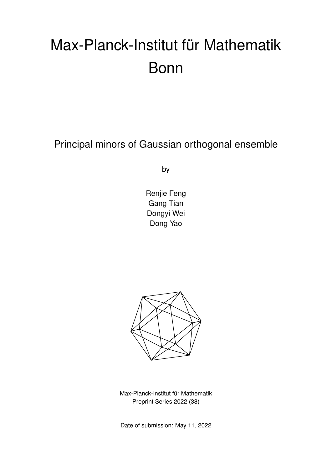# Max-Planck-Institut für Mathematik Bonn

Principal minors of Gaussian orthogonal ensemble

by

Renjie Feng Gang Tian Dongyi Wei Dong Yao



Max-Planck-Institut für Mathematik Preprint Series 2022 (38)

Date of submission: May 11, 2022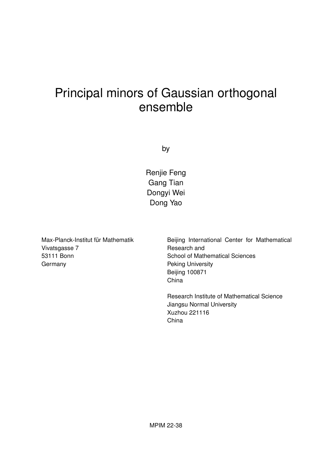# Principal minors of Gaussian orthogonal ensemble

by

Renjie Feng Gang Tian Dongyi Wei Dong Yao

Max-Planck-Institut für Mathematik Vivatsgasse 7 53111 Bonn **Germany** 

Beijing International Center for Mathematical Research and School of Mathematical Sciences Peking University Beijing 100871 China

Research Institute of Mathematical Science Jiangsu Normal University Xuzhou 221116 China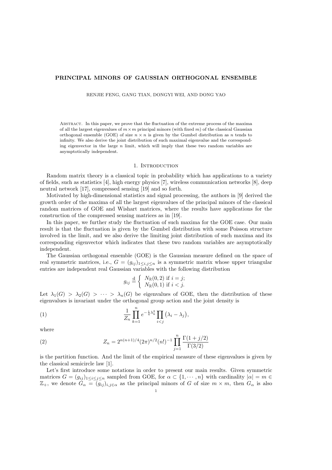### PRINCIPAL MINORS OF GAUSSIAN ORTHOGONAL ENSEMBLE

RENJIE FENG, GANG TIAN, DONGYI WEI, AND DONG YAO

Abstract. In this paper, we prove that the fluctuation of the extreme process of the maxima of all the largest eigenvalues of  $m \times m$  principal minors (with fixed m) of the classical Gaussian orthogonal ensemble (GOE) of size  $n \times n$  is given by the Gumbel distribution as n tends to infinity. We also derive the joint distribution of such maximal eigenvalue and the corresponding eigenvector in the large  $n$  limit, which will imply that these two random variables are asymptotically independent.

#### 1. INTRODUCTION

Random matrix theory is a classical topic in probability which has applications to a variety of fields, such as statistics [4], high energy physics [7], wireless communication networks [8], deep neutral network [17], compressed sensing [19] and so forth.

Motivated by high-dimensional statistics and signal processing, the authors in [9] derived the growth order of the maxima of all the largest eigenvalues of the principal minors of the classical random matrices of GOE and Wishart matrices, where the results have applications for the construction of the compressed sensing matrices as in [19].

In this paper, we further study the fluctuation of such maxima for the GOE case. Our main result is that the fluctuation is given by the Gumbel distribution with some Poisson structure involved in the limit, and we also derive the limiting joint distribution of such maxima and its corresponding eigenvector which indicates that these two random variables are asymptotically independent.

The Gaussian orthogonal ensemble (GOE) is the Gaussian measure defined on the space of real symmetric matrices, i.e.,  $G = (g_{ij})_{1 \le i,j \le n}$  is a symmetric matrix whose upper triangular entries are independent real Gaussian variables with the following distribution

$$
g_{ij} \stackrel{\text{d}}{=} \left\{ \begin{array}{l} N_{\mathbb{R}}(0,2) \text{ if } i=j; \\ N_{\mathbb{R}}(0,1) \text{ if } i
$$

Let  $\lambda_1(G) > \lambda_2(G) > \cdots > \lambda_n(G)$  be eigenvalues of GOE, then the distribution of these eigenvalues is invariant under the orthogonal group action and the joint density is

(1) 
$$
\frac{1}{Z_n} \prod_{k=1}^n e^{-\frac{1}{4}\lambda_k^2} \prod_{i < j} \left(\lambda_i - \lambda_j\right),
$$

where

(2) 
$$
Z_n = 2^{n(n+1)/4} (2\pi)^{n/2} (n!)^{-1} \prod_{j=1}^n \frac{\Gamma(1+j/2)}{\Gamma(3/2)}
$$

is the partition function. And the limit of the empirical measure of these eigenvalues is given by the classical semicircle law [1].

Let's first introduce some notations in order to present our main results. Given symmetric matrices  $G = (g_{ij})_{1 \leq i \leq j \leq n}$  sampled from GOE, for  $\alpha \subset \{1, \dots, n\}$  with cardinality  $|\alpha| = m \in$  $\mathbb{Z}_+$ , we denote  $G_\alpha = (g_{ij})_{i,j \in \alpha}$  as the principal minors of G of size  $m \times m$ , then  $G_\alpha$  is also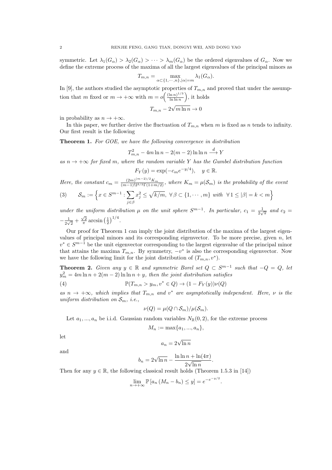symmetric. Let  $\lambda_1(G_\alpha) > \lambda_2(G_\alpha) > \cdots > \lambda_m(G_\alpha)$  be the ordered eigenvalues of  $G_\alpha$ . Now we define the extreme process of the maxima of all the largest eigenvalues of the principal minors as

$$
T_{m,n} = \max_{\alpha \subset \{1, \cdots, n\}, |\alpha| = m} \lambda_1(G_\alpha).
$$

In [9], the authors studied the asymptotic properties of  $T_{m,n}$  and proved that under the assumption that m fixed or  $m \to +\infty$  with  $m = o\left(\frac{(\ln n)^{1/3}}{\ln \ln n}\right)$  $\frac{\ln n)^{1/3}}{\ln \ln n}$ , it holds

$$
T_{m,n} - 2\sqrt{m\ln n} \to 0
$$

in probability as  $n \to +\infty$ .

In this paper, we further derive the fluctuation of  $T_{m,n}$  when m is fixed as n tends to infinity. Our first result is the following

Theorem 1. For GOE, we have the following convergence in distribution

$$
T_{m,n}^2 - 4m \ln n - 2(m-2) \ln \ln n \stackrel{d}{\longrightarrow} Y
$$

as  $n \to +\infty$  for fixed m, where the random variable Y has the Gumbel distribution function

$$
F_Y(y) = \exp(-c_m e^{-y/4}), \quad y \in \mathbb{R}.
$$

Here, the constant  $c_m = \frac{(2m)^{(m-2)/2}K_m}{(m-1)!2^{3/2}\Gamma(1+m/2)}$ , where  $K_m = \mu(\mathcal{S}_m)$  is the probability of the event

$$
(3) \qquad \mathcal{S}_m := \left\{ x \in S^{m-1} : \sum_{j \in \beta} x_j^2 \le \sqrt{k/m}, \ \forall \, \beta \subset \{1, \cdots, m\} \ \text{with} \ \ \forall \, 1 \le |\beta| = k < m \right\}
$$

under the uniform distribution  $\mu$  on the unit sphere  $S^{m-1}$ . In particular,  $c_1 = \frac{1}{2\sqrt{\pi}}$  and  $c_2 =$  $-\frac{1}{2}$  $\frac{1}{2\sqrt{2}} + \frac{\sqrt{2}}{\pi} \arcsin \left(\frac{1}{2}\right)^{1/4}.$ 

Our proof for Theorem 1 can imply the joint distribution of the maxima of the largest eigenvalues of principal minors and its corresponding eigenvector. To be more precise, given n, let  $v^* \in S^{m-1}$  be the unit eigenvector corresponding to the largest eigenvalue of the principal minor that attains the maxima  $T_{m,n}$ . By symmetry,  $-v^*$  is also the corresponding eigenvector. Now we have the following limit for the joint distribution of  $(T_{m,n}, v^*)$ .

**Theorem 2.** Given any  $y \in \mathbb{R}$  and symmetric Borel set  $Q \subset S^{m-1}$  such that  $-Q = Q$ , let  $y_m^2 = 4m \ln n + 2(m-2) \ln \ln n + y$ , then the joint distribution satisfies

(4) 
$$
\mathbb{P}(T_{m,n} > y_m, v^* \in Q) \to (1 - F_Y(y))\nu(Q)
$$

as  $n \to +\infty$ , which implies that  $T_{m,n}$  and  $v^*$  are asymptotically independent. Here,  $\nu$  is the uniform distribution on  $S_m$ , i.e.,

$$
\nu(Q) = \mu(Q \cap \mathcal{S}_m)/\mu(\mathcal{S}_m).
$$

Let  $a_1, ..., a_n$  be i.i.d. Gaussian random variables  $N_{\mathbb{R}}(0, 2)$ , for the extreme process

$$
M_n := \max\{a_1, ..., a_n\},\
$$

let

$$
a_n = 2\sqrt{\ln n}
$$

and

$$
b_n = 2\sqrt{\ln n} - \frac{\ln \ln n + \ln(4\pi)}{2\sqrt{\ln n}}.
$$

Then for any  $y \in \mathbb{R}$ , the following classical result holds (Theorem 1.5.3 in [14])

$$
\lim_{n \to +\infty} \mathbb{P}\left[a_n \left(M_n - b_n\right) \le y\right] = e^{-e^{-y/2}}.
$$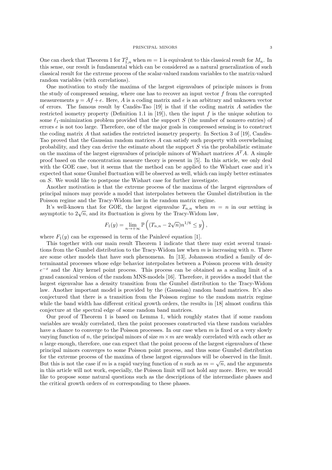One can check that Theorem 1 for  $T_{1,n}^2$  when  $m = 1$  is equivalent to this classical result for  $M_n$ . In this sense, our result is fundamental which can be considered as a natural generalization of such classical result for the extreme process of the scalar-valued random variables to the matrix-valued random variables (with correlations).

One motivation to study the maxima of the largest eigenvalues of principle minors is from the study of compressed sensing, where one has to recover an input vector  $f$  from the corrupted measurements  $y = Af + e$ . Here, A is a coding matrix and e is an arbitrary and unknown vector of errors. The famous result by Candès-Tao  $[19]$  is that if the coding matrix A satisfies the restricted isometry property (Definition 1.1 in [19]), then the input  $f$  is the unique solution to some  $\ell_1$ -minimization problem provided that the support S (the number of nonzero entries) of errors  $e$  is not too large. Therefore, one of the major goals in compressed sensing is to construct the coding matrix A that satisfies the restricted isometry property. In Section 3 of [19], Candès-Tao proved that the Gaussian random matrices A can satisfy such property with overwhelming probability, and they can derive the estimate about the support S via the probabilistic estimate on the maxima of the largest eigenvalues of principle minors of Wishart matrices  $A<sup>T</sup>A$ . A simple proof based on the concentration measure theory is present in [5]. In this article, we only deal with the GOE case, but it seems that the method can be applied to the Wishart case and it's expected that some Gumbel fluctuation will be observed as well, which can imply better estimates on S. We would like to postpone the Wishart case for further investigate.

Another motivation is that the extreme process of the maxima of the largest eigenvalues of principal minors may provide a model that interpolates between the Gumbel distribution in the Poisson regime and the Tracy-Widom law in the random matrix regime.

It's well-known that for GOE, the largest eigenvalue  $T_{n,n}$  when  $m = n$  in our setting is It s wen-known that for GOE, the largest eigenvalue  $I_{n,n}$  when  $m$  asymptotic to  $2\sqrt{n}$ , and its fluctuation is given by the Tracy-Widom law,

$$
F_1(y) = \lim_{n \to +\infty} \mathbb{P}\left( (T_{n,n} - 2\sqrt{n})n^{1/6} \le y \right),
$$

where  $F_1(y)$  can be expressed in term of the Painlevé equation [1].

This together with our main result Theorem 1 indicate that there may exist several transitions from the Gumbel distribution to the Tracy-Widom law when  $m$  is increasing with  $n$ . There are some other models that have such phenomena. In [13], Johansson studied a family of determinantal processes whose edge behavior interpolates between a Poisson process with density  $e^{-x}$  and the Airy kernel point process. This process can be obtained as a scaling limit of a grand canonical version of the random MNS-models [16]. Therefore, it provides a model that the largest eigenvalue has a density transition from the Gumbel distribution to the Tracy-Widom law. Another important model is provided by the (Gaussian) random band matrices. It's also conjectured that there is a transition from the Poisson regime to the random matrix regime while the band width has different critical growth orders, the results in [18] almost confirm this conjecture at the spectral edge of some random band matrices.

Our proof of Theorem 1 is based on Lemma 1, which roughly states that if some random variables are weakly correlated, then the point processes constructed via these random variables have a chance to converge to the Poisson processes. In our case when  $m$  is fixed or a very slowly varying function of n, the principal minors of size  $m \times m$  are weakly correlated with each other as  $n$  large enough, therefore, one can expect that the point process of the largest eigenvalues of these principal minors converges to some Poisson point process, and thus some Gumbel distribution for the extreme process of the maxima of these largest eigenvalues will be observed in the limit. But this is not the case if m is a rapid varying function of n such as  $m = \sqrt{n}$ , and the arguments in this article will not work, especially, the Poisson limit will not hold any more. Here, we would like to propose some natural questions such as the descriptions of the intermediate phases and the critical growth orders of  $m$  corresponding to these phases.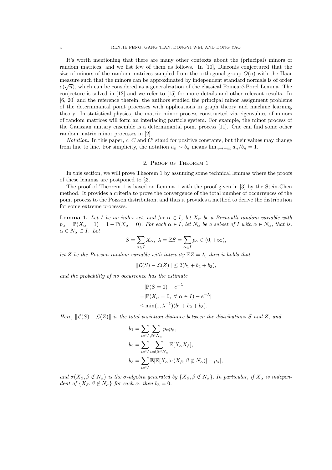It's worth mentioning that there are many other contexts about the (principal) minors of random matrices, and we list few of them as follows. In [10], Diaconis conjectured that the size of minors of the random matrices sampled from the orthogonal group  $O(n)$  with the Haar measure such that the minors can be approximated by independent standard normals is of order  $o(\sqrt{n})$ , which can be considered as a generalization of the classical Poincaré-Borel Lemma. The conjecture is solved in [12] and we refer to [15] for more details and other relevant results. In [6, 20] and the reference therein, the authors studied the principal minor assignment problems of the determinantal point processes with applications in graph theory and machine learning theory. In statistical physics, the matrix minor process constructed via eigenvalues of minors of random matrices will form an interlacing particle system. For example, the minor process of the Gaussian unitary ensemble is a determinantal point process [11]. One can find some other random matrix minor processes in [2].

Notation. In this paper,  $c$ ,  $C$  and  $C'$  stand for positive constants, but their values may change from line to line. For simplicity, the notation  $a_n \sim b_n$  means  $\lim_{n \to +\infty} a_n/b_n = 1$ .

#### 2. Proof of Theorem 1

In this section, we will prove Theorem 1 by assuming some technical lemmas where the proofs of these lemmas are postponed to §3.

The proof of Theorem 1 is based on Lemma 1 with the proof given in [3] by the Stein-Chen method. It provides a criteria to prove the convergence of the total number of occurrences of the point process to the Poisson distribution, and thus it provides a method to derive the distribution for some extreme processes.

**Lemma 1.** Let I be an index set, and for  $\alpha \in I$ , let  $X_{\alpha}$  be a Bernoulli random variable with  $p_{\alpha} = \mathbb{P}(X_{\alpha} = 1) = 1 - \mathbb{P}(X_{\alpha} = 0)$ . For each  $\alpha \in I$ , let  $N_{\alpha}$  be a subset of I with  $\alpha \in N_{\alpha}$ , that is,  $\alpha \in N_{\alpha} \subset I$ . Let

$$
S=\sum_{\alpha\in I}X_\alpha, \ \lambda=\mathbb{E}S=\sum_{\alpha\in I}p_\alpha\in (0,+\infty),
$$

let Z be the Poisson random variable with intensity  $\mathbb{E}Z = \lambda$ , then it holds that

$$
\|\mathcal{L}(S) - \mathcal{L}(Z)\| \le 2(b_1 + b_2 + b_3),
$$

and the probability of no occurrence has the estimate

$$
|\mathbb{P}(S=0) - e^{-\lambda}|
$$
  
=  $|\mathbb{P}(X_{\alpha} = 0, \forall \alpha \in I) - e^{-\lambda}|$   
 $\leq \min(1, \lambda^{-1})(b_1 + b_2 + b_3).$ 

Here,  $\Vert \mathcal{L}(S) - \mathcal{L}(Z) \Vert$  is the total variation distance between the distributions S and Z, and

$$
b_1 = \sum_{\alpha \in I} \sum_{\beta \in N_{\alpha}} p_{\alpha} p_{\beta},
$$
  
\n
$$
b_2 = \sum_{\alpha \in I} \sum_{\alpha \neq \beta \in N_{\alpha}} \mathbb{E}[X_{\alpha} X_{\beta}],
$$
  
\n
$$
b_3 = \sum_{\alpha \in I} \mathbb{E}[\mathbb{E}[X_{\alpha} | \sigma(X_{\beta}, \beta \notin N_{\alpha})] - p_{\alpha}],
$$

and  $\sigma(X_\beta, \beta \notin N_\alpha)$  is the  $\sigma$ -algebra generated by  $\{X_\beta, \beta \notin N_\alpha\}$ . In particular, if  $X_\alpha$  is independent of  $\{X_{\beta}, \beta \notin N_{\alpha}\}\$  for each  $\alpha$ , then  $b_3 = 0$ .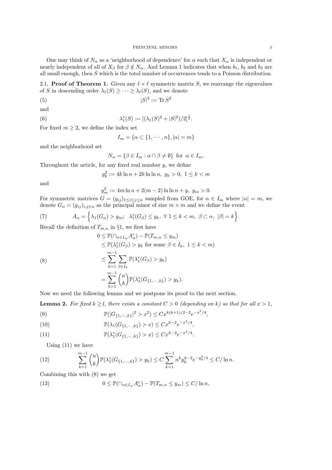One may think of  $N_{\alpha}$  as a 'neighborhood of dependence' for  $\alpha$  such that  $X_{\alpha}$  is independent or nearly independent of all of  $X_\beta$  for  $\beta \notin N_\alpha$ . And Lemma 1 indicates that when  $b_1$ ,  $b_2$  and  $b_3$  are all small enough, then S which is the total number of occurrences tends to a Poisson distribution.

2.1. **Proof of Theorem 1.** Given any  $\ell \times \ell$  symmetric matrix S, we rearrange the eigenvalues of S in descending order  $\lambda_1(S) \geq \cdots \geq \lambda_\ell(S)$ , and we denote

$$
(5) \t\t |S|^2 := \text{Tr} S^2
$$

and

(6) 
$$
\lambda_1^*(S) := [(\lambda_1(S)^2 + |S|^2)/2]^{\frac{1}{2}}.
$$

For fixed  $m \geq 2$ , we define the index set

$$
I_m = \{ \alpha \subset \{1, \cdots, n\}, |\alpha| = m \}
$$

and the neighborhood set

$$
N_{\alpha} = \{ \beta \in I_m : \alpha \cap \beta \neq \emptyset \} \text{ for } \alpha \in I_m.
$$

Throughout the article, for any fixed real number  $y$ , we define

$$
y_k^2 := 4k \ln n + 2k \ln \ln n, \ y_k > 0, \ 1 \le k < m
$$

and

 $y_m^2 := 4m \ln n + 2(m-2) \ln \ln n + y, \ y_m > 0.$ 

For symmetric matrices  $G = (g_{ij})_{1 \leq i \leq j \leq n}$  sampled from GOE, for  $\alpha \in I_m$  where  $|\alpha| = m$ , we denote  $G_{\alpha} = (g_{ij})_{i,j \in \alpha}$  as the principal minor of size  $m \times m$  and we define the event

(7) 
$$
A_{\alpha} = \left\{ \lambda_1(G_{\alpha}) > y_m; \ \lambda_1^*(G_{\beta}) \leq y_k, \ \forall \ 1 \leq k < m, \ \beta \subset \alpha, \ |\beta| = k \right\}.
$$

Recall the definition of  $T_{m,n}$  in §1, we first have

(8)  
\n
$$
0 \leq \mathbb{P}(\bigcap_{\alpha \in I_m} A_{\alpha}^c) - \mathbb{P}(T_{m,n} \leq y_m)
$$
\n
$$
\leq \mathbb{P}(\lambda_1^*(G_{\beta}) > y_k \text{ for some } \beta \in I_k, 1 \leq k < m)
$$
\n
$$
\leq \sum_{k=1}^{m-1} \sum_{\beta \in I_k} \mathbb{P}(\lambda_1^*(G_{\beta}) > y_k)
$$
\n
$$
= \sum_{k=1}^{m-1} {n \choose k} \mathbb{P}(\lambda_1^*(G_{\{1,\cdots,k\}}) > y_k).
$$

Now we need the following lemma and we postpone its proof to the next section.

**Lemma 2.** For fixed  $k > 1$ , there exists a constant  $C > 0$  (depending on k) so that for all  $x > 1$ ,

(9) 
$$
\mathbb{P}(|G_{\{1,\cdots,k\}}|^2 > x^2) \leq Cx^{k(k+1)/2-2}e^{-x^2/4},
$$

(10) 
$$
\mathbb{P}(\lambda_1(G_{\{1,\cdots,k\}}) > x) \leq Cx^{k-2}e^{-x^2/4},
$$

(11) 
$$
\mathbb{P}(\lambda_1^*(G_{\{1,\cdots,k\}}) > x) \leq Cx^{k-2}e^{-x^2/4}.
$$

Using (11) we have

(12) 
$$
\sum_{k=1}^{m-1} {n \choose k} \mathbb{P}(\lambda_1^*(G_{\{1,\cdots,k\}}) > y_k) \le C \sum_{k=1}^{m-1} n^k y_k^{k-2} e^{-y_k^2/4} \le C/\ln n.
$$

Combining this with (8) we get

(13) 
$$
0 \leq \mathbb{P}(\bigcap_{\alpha \in I_m} A_{\alpha}^c) - \mathbb{P}(T_{m,n} \leq y_m) \leq C/\ln n,
$$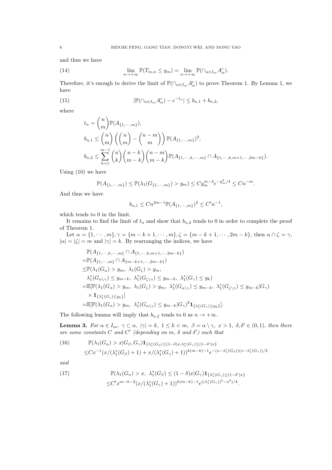and thus we have

(14) 
$$
\lim_{n \to +\infty} \mathbb{P}(T_{m,n} \leq y_m) = \lim_{n \to +\infty} \mathbb{P}(\bigcap_{\alpha \in I_m} A_{\alpha}^c).
$$

Therefore, it's enough to derive the limit of  $\mathbb{P}(\bigcap_{\alpha\in I_m} A_{\alpha}^c)$  to prove Theorem 1. By Lemma 1, we have

(15) 
$$
|\mathbb{P}(\cap_{\alpha \in I_m} A_{\alpha}^c) - e^{-t_n}| \leq b_{n,1} + b_{n,2},
$$

where

$$
t_n = {n \choose m} \mathbb{P}(A_{\{1,\dots,m\}}),
$$
  
\n
$$
b_{n,1} \le {n \choose m} \left({n \choose m} - {n-m \choose m}\right) \mathbb{P}(A_{\{1,\dots,m\}})^2,
$$
  
\n
$$
b_{n,2} \le \sum_{k=1}^{m-1} {n \choose k} {n-k \choose m-k} {n-m \choose m-k} \mathbb{P}(A_{\{1,\dots,k,\dots,m\}} \cap A_{\{1,\dots,k,m+1,\dots,2m-k\}}).
$$

Using (10) we have

$$
\mathbb{P}(A_{\{1,\cdots,m\}}) \le \mathbb{P}(\lambda_1(G_{\{1,\cdots,m\}}) > y_m) \le C y_m^{m-2} e^{-y_m^2/4} \le C n^{-m}.
$$

And thus we have

$$
b_{n,1} \leq Cn^{2m-1} \mathbb{P}(A_{\{1,\cdots,m\}})^2 \leq C'n^{-1},
$$

which tends to 0 in the limit.

It remains to find the limit of  $t_n$  and show that  $b_{n,2}$  tends to 0 in order to complete the proof of Theorem 1.

Let  $\alpha = \{1, \dots, m\}, \gamma = \{m - k + 1, \dots, m\}, \zeta = \{m - k + 1, \dots, 2m - k\},\$  then  $\alpha \cap \zeta = \gamma$ ,  $|\alpha| = |\zeta| = m$  and  $|\gamma| = k$ . By rearranging the indices, we have

$$
\mathbb{P}(A_{\{1,\dots,k,\dots,m\}} \cap A_{\{1,\dots,k,m+1,\dots,2m-k\}})
$$
\n
$$
= \mathbb{P}(A_{\{1,\dots,m\}} \cap A_{\{m-k+1,\dots,2m-k\}})
$$
\n
$$
\leq \mathbb{P}(\lambda_1(G_{\alpha}) > y_m, \lambda_1(G_{\zeta}) > y_m,
$$
\n
$$
\lambda_1^*(G_{\alpha \setminus \gamma}) \leq y_{m-k}, \lambda_1^*(G_{\zeta \setminus \gamma}) \leq y_{m-k}, \lambda_1^*(G_{\gamma}) \leq y_k)
$$
\n
$$
= \mathbb{E}[\mathbb{P}(\lambda_1(G_{\alpha}) > y_m, \lambda_1(G_{\zeta}) > y_m, \lambda_1^*(G_{\alpha \setminus \gamma}) \leq y_{m-k}, \lambda_1^*(G_{\zeta \setminus \gamma}) \leq y_{m-k}|G_{\gamma})
$$
\n
$$
\times \mathbf{1}_{\{\lambda_1^*(G_{\gamma}) \leq y_k\}}]
$$
\n
$$
= \mathbb{E}[\mathbb{P}(\lambda_1(G_{\alpha}) > y_m, \lambda_1^*(G_{\alpha \setminus \gamma}) \leq y_{m-k}|G_{\gamma})^2 \mathbf{1}_{\{\lambda_1^*(G_{\gamma}) \leq y_k\}}].
$$

The following lemma will imply that  $b_{n,2}$  tends to 0 as  $n \to +\infty$ .

**Lemma 3.** For  $\alpha \in I_m$ ,  $\gamma \subset \alpha$ ,  $|\gamma| = k$ ,  $1 \leq k < m$ ,  $\beta = \alpha \setminus \gamma$ ,  $x > 1$ ,  $\delta, \delta' \in (0, 1)$ , then there are some constants C and C' (depending on m,  $\delta$  and  $\delta'$ ) such that

(16) 
$$
\mathbb{P}(\lambda_1(G_{\alpha}) > x | G_{\beta}, G_{\gamma}) \mathbf{1}_{\{\lambda_1^*(G_{\beta}) \leq (1-\delta)x, \lambda_1^*(G_{\gamma}) \leq (1-\delta')x\}}\n\leq C x^{-1} (x / (\lambda_1^*(G_{\beta}) + 1) + x / (\lambda_1^*(G_{\gamma}) + 1))^{k(m-k)-1} e^{-(x - \lambda_1^*(G_{\beta})) (x - \lambda_1^*(G_{\gamma}))/2}
$$

and

(17) 
$$
\mathbb{P}(\lambda_1(G_{\alpha}) > x, \ \lambda_1^*(G_{\beta}) \le (1 - \delta)x |G_{\gamma}| \mathbf{1}_{\{\lambda_1^*(G_{\gamma}) \le (1 - \delta')x\}} \le C' x^{m-k-2} (x/(\lambda_1^*(G_{\gamma})+1))^{k(m-k)-1} e^{((\lambda_1^*(G_{\gamma}))^2 - x^2)/4}.
$$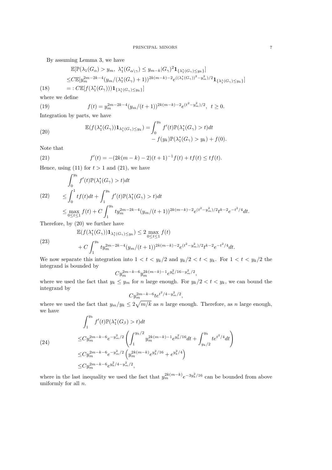By assuming Lemma 3, we have

$$
\mathbb{E}[\mathbb{P}(\lambda_1(G_{\alpha}) > y_m, \ \lambda_1^*(G_{\alpha \setminus \gamma}) \le y_{m-k}|G_{\gamma})^2 \mathbf{1}_{\{\lambda_1^*(G_{\gamma}) \le y_k\}}]
$$
\n
$$
\le C \mathbb{E}[y_m^{2m-2k-4}(y_m/(\lambda_1^*(G_{\gamma})+1))^{2k(m-k)-2} e^{((\lambda_1^*(G_{\gamma}))^2 - y_m^2)/2} \mathbf{1}_{\{\lambda_1^*(G_{\gamma}) \le y_k\}}]
$$
\n(18) =:  $C \mathbb{E}[f(\lambda_1^*(G_{\gamma}))) \mathbf{1}_{\{\lambda_1^*(G_{\gamma}) \le y_k\}}]$ 

where we define

(19) 
$$
f(t) = y_m^{2m-2k-4} (y_m/(t+1))^{2k(m-k)-2} e^{(t^2-y_m^2)/2}, \ t \ge 0.
$$
 Integration by parts, we have

(20) 
$$
\mathbb{E}(f(\lambda_1^*(G_\gamma))\mathbf{1}_{\lambda_1^*(G_\gamma)\leq y_k}) = \int_0^{y_k} f'(t)\mathbb{P}(\lambda_1^*(G_\gamma) > t)dt -f(y_k)\mathbb{P}(\lambda_1^*(G_\gamma) > y_k) + f(0).
$$

Note that

(23)

(24)

(21) 
$$
f'(t) = -(2k(m-k)-2)(t+1)^{-1}f(t) + tf(t) \leq tf(t).
$$

Hence, using (11) for  $t > 1$  and (21), we have

$$
\int_0^{y_k} f'(t) \mathbb{P}(\lambda_1^*(G_\gamma) > t) dt
$$
\n
$$
\leq \int_0^1 t f(t) dt + \int_1^{y_k} f'(t) \mathbb{P}(\lambda_1^*(G_\gamma) > t) dt
$$
\n
$$
\leq \max_{0 \leq t \leq 1} f(t) + C \int_1^{y_k} t y_m^{2m - 2k - 4} (y_m/(t+1))^{2k(m-k) - 2} e^{(t^2 - y_m^2)/2} t^{k - 2} e^{-t^2/4} dt.
$$

Therefore, by (20) we further have

$$
\mathbb{E}(f(\lambda_1^*(G_{\gamma}))\mathbf{1}_{\lambda_1^*(G_{\gamma})\leq y_k}) \leq 2 \max_{0\leq t\leq 1} f(t)
$$
  
+ 
$$
C \int_1^{y_k} ty_m^{2m-2k-4} (y_m/(t+1))^{2k(m-k)-2} e^{(t^2-y_m^2)/2} t^{k-2} e^{-t^2/4} dt.
$$

We now separate this integration into  $1 < t < y_k/2$  and  $y_k/2 < t < y_k$ . For  $1 < t < y_k/2$  the integrand is bounded by

$$
Cy_m^{2m-k-6}y_m^{2k(m-k)-1}e^{y_k^2/16-y_m^2/2},
$$

where we used the fact that  $y_k \le y_m$  for n large enough. For  $y_k/2 < t < y_k$ , we can bound the integrand by

$$
Cy_{m}^{2m-k-6}te^{t^2/4-y_{m}^2/2},
$$

where we used the fact that  $y_m/y_k \leq 2\sqrt{m/k}$  as n large enough. Therefore, as n large enough, we have

$$
\int_{1}^{y_k} f'(t) \mathbb{P}(\lambda_1^*(G_\beta) > t) dt
$$
  
\n
$$
\leq Cy_m^{2m-k-6} e^{-y_m^2/2} \left( \int_{1}^{y_k/2} y_m^{2k(m-k)-1} e^{y_k^2/16} dt + \int_{y_k/2}^{y_k} t e^{t^2/4} dt \right)
$$
  
\n
$$
\leq Cy_m^{2m-k-6} e^{-y_m^2/2} \left( y_m^{2k(m-k)} e^{y_k^2/16} + e^{y_k^2/4} \right)
$$
  
\n
$$
\leq Cy_m^{2m-k-6} e^{y_k^2/4 - y_m^2/2},
$$

where in the last inequality we used the fact that  $y_m^{2k(m-k)} e^{-3y_k^2/16}$  can be bounded from above uniformly for all  $n$ .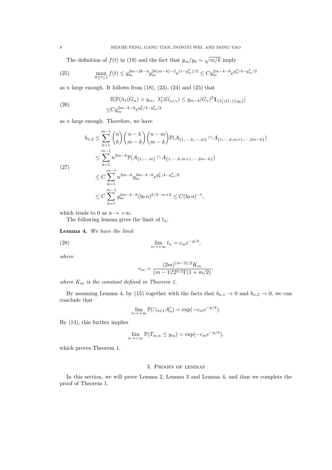The definition of  $f(t)$  in (19) and the fact that  $y_m/y_k \sim \sqrt{m/k}$  imply

(25) 
$$
\max_{0 \le t \le 1} f(t) \le y_m^{2m-2k-4} y_m^{2k(m-k)-2} e^{(1-y_m^2)/2} \le C y_m^{2m-k-6} e^{y_k^2/4 - y_m^2/2}
$$

as  $n$  large enough. It follows from  $(18)$ ,  $(23)$ ,  $(24)$  and  $(25)$  that

(26) 
$$
\mathbb{E}[\mathbb{P}(\lambda_1(G_{\alpha}) > y_m, \ \lambda_1^*(G_{\alpha \setminus \gamma}) \leq y_{m-k}|G_{\gamma})^2 \mathbf{1}_{\{\lambda_1^*(G_{\gamma}) \leq y_k\}}] \leq Cy_m^{2m-k-6} e^{y_k^2/4 - y_m^2/2}
$$

as  $n$  large enough. Therefore, we have

$$
b_{n,2} \leq \sum_{k=1}^{m-1} {n \choose k} {n-k \choose m-k} {n-m \choose m-k} \mathbb{P}(A_{\{1,\cdots,k,\cdots,m\}} \cap A_{\{1,\cdots,k,m+1,\cdots,2m-k\}})
$$
  

$$
\leq \sum_{k=1}^{m-1} n^{2m-k} \mathbb{P}(A_{\{1,\cdots,m\}} \cap A_{\{1,\cdots,k,m+1,\cdots,2m-k\}})
$$
  
(27)  

$$
\leq C \sum_{k=1}^{m-1} n^{2m-k} y_m^{2m-k-6} e^{y_k^2/4 - y_m^2/2}
$$
  

$$
\leq C \sum_{k=1}^{m-1} y_m^{2m-k-6} (\ln n)^{k/2-m+2} \leq C(\ln n)^{-1},
$$

which tends to 0 as  $n \to +\infty$ .

The following lemma gives the limit of  $t_n$ .

Lemma 4. We have the limit

(28) 
$$
\lim_{n \to +\infty} t_n = c_m e^{-y/4},
$$

where

$$
c_m = \frac{(2m)^{(m-2)/2}K_m}{(m-1)!2^{3/2}\Gamma(1+m/2)},
$$

where  $K_m$  is the constant defined in Theorem 1.

By assuming Lemma 4, by (15) together with the facts that  $b_{n,1} \to 0$  and  $b_{n,2} \to 0$ , we can conclude that

$$
\lim_{n \to +\infty} \mathbb{P}(\cap_{\alpha \in I} A_{\alpha}^c) = \exp(-c_m e^{-y/4}).
$$

By (14), this further implies

$$
\lim_{n \to +\infty} \mathbb{P}(T_{m,n} \le y_m) = \exp(-c_m e^{-y/4}),
$$

which proves Theorem 1.

#### 3. Proofs of lemmas

In this section, we will prove Lemma 2, Lemma 3 and Lemma 4, and thus we complete the proof of Theorem 1.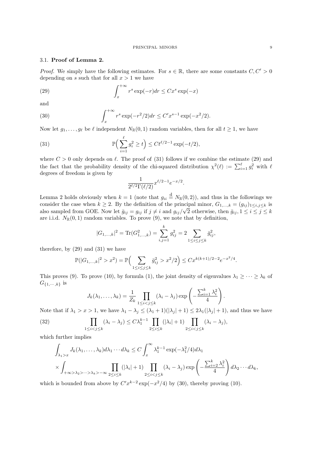### 3.1. Proof of Lemma 2.

*Proof.* We simply have the following estimates. For  $s \in \mathbb{R}$ , there are some constants  $C, C' > 0$ depending on s such that for all  $x > 1$  we have

(29) 
$$
\int_{x}^{+\infty} r^{s} \exp(-r) dr \leq C x^{s} \exp(-x)
$$

and

(30) 
$$
\int_{x}^{+\infty} r^{s} \exp(-r^{2}/2) dr \leq C' x^{s-1} \exp(-x^{2}/2).
$$

Now let  $g_1, \ldots, g_\ell$  be  $\ell$  independent  $N_{\mathbb{R}}(0, 1)$  random variables, then for all  $t \geq 1$ , we have

(31) 
$$
\mathbb{P}\Big(\sum_{i=1}^{\ell} g_i^2 \ge t\Big) \le C t^{\ell/2 - 1} \exp(-t/2),
$$

where  $C > 0$  only depends on  $\ell$ . The proof of (31) follows if we combine the estimate (29) and the fact that the probability density of the chi-squared distribution  $\chi^2(\ell) := \sum_{i=1}^{\ell} g_i^2$  with  $\ell$ degrees of freedom is given by

$$
\frac{1}{2^{\ell/2}\Gamma(\ell/2)}x^{\ell/2-1}e^{-x/2}.
$$

Lemma 2 holds obviously when  $k = 1$  (note that  $g_{ii} \stackrel{\text{d}}{=} N_{\mathbb{R}}(0, 2)$ ), and thus in the followings we consider the case when  $k \geq 2$ . By the definition of the principal minor,  $G_{1,...,k} = (g_{ij})_{1 \leq i,j \leq k}$  is also sampled from GOE. Now let  $\bar{g}_{ij} = g_{ij}$  if  $j \neq i$  and  $g_{ij}/\sqrt{2}$  otherwise, then  $\bar{g}_{ij}$ ,  $1 \leq i \leq j \leq k$ are i.i.d.  $N_{\mathbb{R}}(0,1)$  random variables. To prove (9), we note that by definition,

$$
|G_{1,\ldots,k}|^2 = \text{Tr}(G_{1,\ldots,k}^2) = \sum_{i,j=1}^k g_{ij}^2 = 2 \sum_{1 \le i \le j \le k} \bar{g}_{ij}^2,
$$

therefore, by (29) and (31) we have

$$
\mathbb{P}(|G_{1,\ldots,k}|^2 > x^2) = \mathbb{P}\Big(\sum_{1 \le i \le j \le k} \bar{g}_{ij}^2 > x^2/2\Big) \le Cx^{k(k+1)/2 - 2}e^{-x^2/4}.
$$

This proves (9). To prove (10), by formula (1), the joint density of eigenvalues  $\lambda_1 \geq \cdots \geq \lambda_k$  of  $G_{\{1,\dots,k\}}$  is

$$
J_k(\lambda_1,\ldots,\lambda_k)=\frac{1}{Z_k}\prod_{1\leq i
$$

Note that if  $\lambda_1 > x > 1$ , we have  $\lambda_1 - \lambda_j \leq (\lambda_1 + 1)(|\lambda_j| + 1) \leq 2\lambda_1(|\lambda_j| + 1)$ , and thus we have

(32) 
$$
\prod_{1 \leq i < j \leq k} (\lambda_i - \lambda_j) \leq C \lambda_1^{k-1} \prod_{2 \leq i \leq k} (|\lambda_i| + 1) \prod_{2 \leq i < j \leq k} (\lambda_i - \lambda_j),
$$

which further implies

$$
\int_{\lambda_1 > x} J_k(\lambda_1, \dots, \lambda_k) d\lambda_1 \cdots d\lambda_k \le C \int_x^{\infty} \lambda_1^{k-1} \exp(-\lambda_1^2/4) d\lambda_1
$$
\n
$$
\times \int_{+\infty > \lambda_2 > \dots > \lambda_k > -\infty} \prod_{2 \le i \le k} (|\lambda_i| + 1) \prod_{2 \le i < j \le k} (\lambda_i - \lambda_j) \exp\left(-\frac{\sum_{i=2}^k \lambda_i^2}{4}\right) d\lambda_2 \cdots d\lambda_k,
$$

which is bounded from above by  $C'x^{k-2} \exp(-x^2/4)$  by (30), thereby proving (10).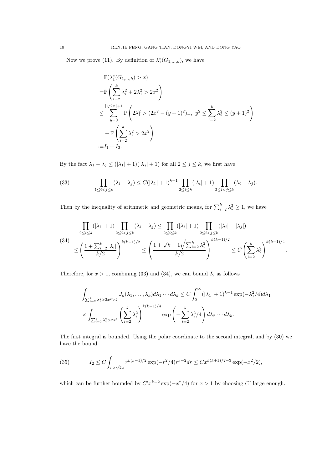Now we prove (11). By definition of  $\lambda_1^*(G_{1,\ldots,k})$ , we have

$$
\mathbb{P}(\lambda_1^*(G_{1,...,k}) > x)
$$
\n
$$
= \mathbb{P}\left(\sum_{i=2}^k \lambda_i^2 + 2\lambda_1^2 > 2x^2\right)
$$
\n
$$
\leq \sum_{y=0}^{\lfloor \sqrt{2}x \rfloor + 1} \mathbb{P}\left(2\lambda_1^2 > (2x^2 - (y+1)^2)_+, y^2 \leq \sum_{i=2}^k \lambda_i^2 \leq (y+1)^2\right)
$$
\n
$$
+ \mathbb{P}\left(\sum_{i=2}^k \lambda_i^2 > 2x^2\right)
$$
\n
$$
:= I_1 + I_2.
$$

By the fact  $\lambda_1 - \lambda_j \leq (|\lambda_1| + 1)(|\lambda_j| + 1)$  for all  $2 \leq j \leq k$ , we first have

(33) 
$$
\prod_{1 \leq i < j \leq k} (\lambda_i - \lambda_j) \leq C(|\lambda_1| + 1)^{k-1} \prod_{2 \leq i \leq k} (|\lambda_i| + 1) \prod_{2 \leq i < j \leq k} (\lambda_i - \lambda_j).
$$

Then by the inequality of arithmetic and geometric means, for  $\sum_{i=2}^{k} \lambda_k^2 \geq 1$ , we have

$$
\prod_{2 \le i \le k} (|\lambda_i| + 1) \prod_{2 \le i < j \le k} (\lambda_i - \lambda_j) \le \prod_{2 \le i \le k} (|\lambda_i| + 1) \prod_{2 \le i < j \le k} (|\lambda_i| + |\lambda_j|)
$$
\n
$$
\le \left(\frac{1 + \sum_{i=2}^k |\lambda_i|}{k/2}\right)^{k(k-1)/2} \le \left(\frac{1 + \sqrt{k-1}\sqrt{\sum_{i=2}^k \lambda_i^2}}{k/2}\right)^{k(k-1)/2} \le C \left(\sum_{i=2}^k \lambda_i^2\right)^{k(k-1)/4}
$$

.

Therefore, for  $x > 1$ , combining (33) and (34), we can bound  $I_2$  as follows

$$
\int_{\sum_{i=2}^k \lambda_i^2 > 2x^2 > 2} J_k(\lambda_1, \dots, \lambda_k) d\lambda_1 \cdots d\lambda_k \le C \int_0^\infty (|\lambda_1| + 1)^{k-1} \exp(-\lambda_1^2/4) d\lambda_1
$$
  

$$
\times \int_{\sum_{i=2}^k \lambda_i^2 > 2x^2} \left(\sum_{i=2}^k \lambda_i^2\right)^{k(k-1)/4} \exp\left(-\sum_{i=2}^k \lambda_i^2/4\right) d\lambda_2 \cdots d\lambda_k.
$$

The first integral is bounded. Using the polar coordinate to the second integral, and by (30) we have the bound

(35) 
$$
I_2 \le C \int_{r > \sqrt{2}x} r^{k(k-1)/2} \exp(-r^2/4) r^{k-2} dr \le C x^{k(k+1)/2 - 3} \exp(-x^2/2),
$$

which can be further bounded by  $C'x^{k-2} \exp(-x^2/4)$  for  $x > 1$  by choosing C' large enough.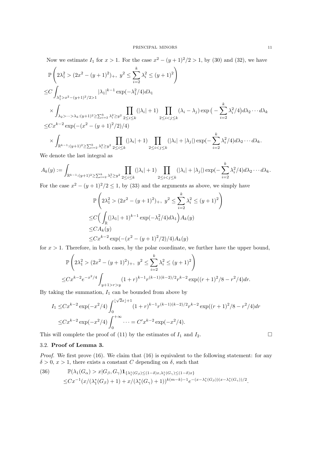Now we estimate  $I_1$  for  $x > 1$ . For the case  $x^2 - (y+1)^2/2 > 1$ , by (30) and (32), we have

$$
\mathbb{P}\left(2\lambda_{1}^{2} > (2x^{2} - (y+1)^{2})_{+}, y^{2} \leq \sum_{i=2}^{k} \lambda_{i}^{2} \leq (y+1)^{2}\right)
$$
\n
$$
\leq C \int_{\lambda_{1}^{2} > x^{2} - (y+1)^{2}/2 > 1} |\lambda_{1}|^{k-1} \exp(-\lambda_{1}^{2}/4) d\lambda_{1}
$$
\n
$$
\times \int_{\lambda_{2} > \dots > \lambda_{k}:(y+1)^{2} \geq \sum_{i=2}^{k} \lambda_{i}^{2} \geq y^{2}} \prod_{2 \leq i \leq k} (|\lambda_{i}| + 1) \prod_{2 \leq i < j \leq k} (\lambda_{i} - \lambda_{j}) \exp\left(-\sum_{i=2}^{k} \lambda_{i}^{2}/4\right) d\lambda_{2} \cdots d\lambda_{k}
$$
\n
$$
\leq Cx^{k-2} \exp(-(x^{2} - (y+1)^{2}/2)/4)
$$
\n
$$
\times \int_{\mathbb{R}^{k-1}:(y+1)^{2} \geq \sum_{i=2}^{k} \lambda_{i}^{2} \geq y^{2}} \prod_{2 \leq i \leq k} (|\lambda_{i}| + 1) \prod_{2 \leq i < j \leq k} (|\lambda_{i}| + |\lambda_{j}|) \exp(-\sum_{i=2}^{k} \lambda_{i}^{2}/4) d\lambda_{2} \cdots d\lambda_{k}.
$$

We denote the last integral as

$$
A_k(y) := \int_{\mathbb{R}^{k-1} : (y+1)^2 \ge \sum_{i=2}^k \lambda_i^2 \ge y^2} \prod_{2 \le i \le k} (|\lambda_i|+1) \prod_{2 \le i < j \le k} (|\lambda_i|+|\lambda_j|) \exp(-\sum_{i=2}^k \lambda_i^2/4) d\lambda_2 \cdots d\lambda_k.
$$

For the case  $x^2 - (y+1)^2/2 \le 1$ , by (33) and the arguments as above, we simply have

$$
\mathbb{P}\left(2\lambda_1^2 > (2x^2 - (y+1)^2)_+, \ y^2 \le \sum_{i=2}^k \lambda_i^2 \le (y+1)^2\right)
$$
  
\n
$$
\le C\left(\int_{\mathbb{R}} (|\lambda_1| + 1)^{k-1} \exp(-\lambda_1^2/4) d\lambda_1\right) A_k(y)
$$
  
\n
$$
\le C A_k(y)
$$
  
\n
$$
\le C x^{k-2} \exp(-(x^2 - (y+1)^2/2)/4) A_k(y)
$$

for  $x > 1$ . Therefore, in both cases, by the polar coordinate, we further have the upper bound,

$$
\mathbb{P}\left(2\lambda_1^2 > (2x^2 - (y+1)^2)_+, \ y^2 \le \sum_{i=2}^k \lambda_i^2 \le (y+1)^2\right)
$$
  

$$
\le Cx^{k-2}e^{-x^2/4} \int_{y+1>r>y} (1+r)^{k-1} r^{(k-1)(k-2)/2} r^{k-2} \exp((r+1)^2/8 - r^2/4) dr.
$$

By taking the summation,  $I_1$  can be bounded from above by

$$
I_1 \leq Cx^{k-2} \exp(-x^2/4) \int_0^{\lfloor \sqrt{2}x \rfloor + 1} (1+r)^{k-1} r^{(k-1)(k-2)/2} r^{k-2} \exp((r+1)^2/8 - r^2/4) dr
$$
  

$$
\leq Cx^{k-2} \exp(-x^2/4) \int_0^{+\infty} \cdots = C'x^{k-2} \exp(-x^2/4).
$$

This will complete the proof of (11) by the estimates of  $I_1$  and  $I_2$ .

# 3.2. Proof of Lemma 3.

Proof. We first prove (16). We claim that (16) is equivalent to the following statement: for any  $\delta > 0, x > 1$ , there exists a constant C depending on  $\delta$ , such that

(36) 
$$
\mathbb{P}(\lambda_1(G_{\alpha}) > x | G_{\beta}, G_{\gamma}) \mathbf{1}_{\{\lambda_1^*(G_{\beta}) \leq (1-\delta)x, \lambda_1^*(G_{\gamma}) \leq (1-\delta)x\}}\n\leq C x^{-1} (x / (\lambda_1^*(G_{\beta}) + 1) + x / (\lambda_1^*(G_{\gamma}) + 1))^{k(m-k)-1} e^{-(x - \lambda_1^*(G_{\beta})) (x - \lambda_1^*(G_{\gamma}))/2}.
$$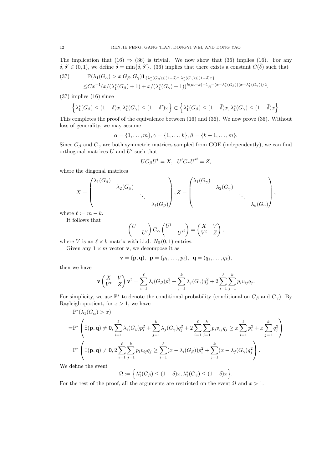The implication that (16)  $\Rightarrow$  (36) is trivial. We now show that (36) implies (16). For any  $\delta, \delta' \in (0, 1)$ , we define  $\overline{\delta} = \min{\delta, \delta'}$ . (36) implies that there exists a constant  $C(\overline{\delta})$  such that

(37) 
$$
\mathbb{P}(\lambda_1(G_{\alpha}) > x | G_{\beta}, G_{\gamma}) \mathbf{1}_{\{\lambda_1^*(G_{\beta}) \leq (1-\bar{\delta})x, \lambda_1^*(G_{\gamma}) \leq (1-\bar{\delta})x\}}\n\leq C x^{-1} (x / (\lambda_1^*(G_{\beta}) + 1) + x / (\lambda_1^*(G_{\gamma}) + 1))^{k(m-k)-1} e^{-(x - \lambda_1^*(G_{\beta})) (x - \lambda_1^*(G_{\gamma}))/2}.
$$

(37) implies (16) since

$$
\left\{\lambda_1^*(G_{\beta})\leq (1-\delta)x,\lambda_1^*(G_{\gamma})\leq (1-\delta')x\right\}\subset \left\{\lambda_1^*(G_{\beta})\leq (1-\bar{\delta})x,\lambda_1^*(G_{\gamma})\leq (1-\bar{\delta})x\right\}.
$$

This completes the proof of the equivalence between (16) and (36). We now prove (36). Without loss of generality, we may assume

$$
\alpha = \{1, \ldots, m\}, \gamma = \{1, \ldots, k\}, \beta = \{k+1, \ldots, m\}.
$$

Since  $G_\beta$  and  $G_\gamma$  are both symmetric matrices sampled from GOE (independently), we can find orthogonal matrices  $U$  and  $U'$  such that

$$
UG_{\beta}U^{t} = X, \ U'G_{\gamma}U'^{t} = Z,
$$

where the diagonal matrices

$$
X = \begin{pmatrix} \lambda_1(G_\beta) & & & \\ & \lambda_2(G_\beta) & & \\ & & \ddots & \\ & & & \lambda_\ell(G_\beta) \end{pmatrix}, Z = \begin{pmatrix} \lambda_1(G_\gamma) & & & \\ & \lambda_2(G_\gamma) & & \\ & & \ddots & \\ & & & \lambda_k(G_\gamma) \end{pmatrix},
$$

where  $\ell := m - k$ .

It follows that

$$
\begin{pmatrix} U & \\ & U' \end{pmatrix} G_{\alpha} \begin{pmatrix} U^t & \\ & U'^t \end{pmatrix} = \begin{pmatrix} X & V \\ V^t & Z \end{pmatrix},
$$

where V is an  $\ell \times k$  matrix with i.i.d.  $N_{\mathbb{R}}(0, 1)$  entries.

Given any  $1 \times m$  vector **v**, we decompose it as

$$
v = (p, q), p = (p1,..., pl), q = (q1,..., qk),
$$

then we have

$$
\mathbf{v} \begin{pmatrix} X & V \\ V^t & Z \end{pmatrix} \mathbf{v}^t = \sum_{i=1}^{\ell} \lambda_i (G_{\beta}) p_i^2 + \sum_{j=1}^{k} \lambda_j (G_{\gamma}) q_j^2 + 2 \sum_{i=1}^{\ell} \sum_{j=1}^{k} p_i v_{ij} q_j.
$$

For simplicity, we use  $\mathbb{P}^*$  to denote the conditional probability (conditional on  $G_\beta$  and  $G_\gamma$ ). By Rayleigh quotient, for  $x > 1$ , we have

$$
\mathbb{P}^*(\lambda_1(G_{\alpha}) > x)
$$
\n
$$
= \mathbb{P}^*\left(\exists (\mathbf{p}, \mathbf{q}) \neq \mathbf{0}, \sum_{i=1}^{\ell} \lambda_i(G_{\beta}) p_i^2 + \sum_{j=1}^{k} \lambda_j(G_{\gamma}) q_j^2 + 2 \sum_{i=1}^{\ell} \sum_{j=1}^{k} p_i v_{ij} q_j \geq x \sum_{i=1}^{\ell} p_i^2 + x \sum_{j=1}^{k} q_j^2\right)
$$
\n
$$
= \mathbb{P}^*\left(\exists (\mathbf{p}, \mathbf{q}) \neq \mathbf{0}, 2 \sum_{i=1}^{\ell} \sum_{j=1}^{k} p_i v_{ij} q_j \geq \sum_{i=1}^{\ell} (x - \lambda_i(G_{\beta})) p_i^2 + \sum_{j=1}^{k} (x - \lambda_j(G_{\gamma}) q_j^2\right).
$$

We define the event

$$
\Omega := \left\{ \lambda_1^*(G_\beta) \le (1 - \delta)x, \lambda_1^*(G_\gamma) \le (1 - \delta)x \right\}
$$

.

For the rest of the proof, all the arguments are restricted on the event  $\Omega$  and  $x > 1$ .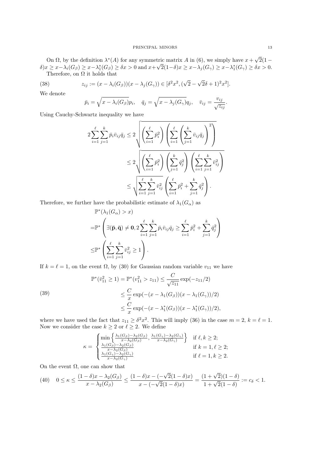On  $\Omega$ , by the definition  $\lambda^*(A)$  for any symmetric matrix A in (6), we simply have  $x +$ √ tric matrix A in (6), we simply have  $x + \sqrt{2(1 - \sqrt{2})}$  $\delta(x \geq x - \lambda_i(G_\beta) \geq x - \lambda_1^*(G_\beta) \geq \delta x > 0$  and  $x + \sqrt{2}(1-\delta)x \geq x - \lambda_j(G_\gamma) \geq x - \lambda_1^*(G_\gamma) \geq \delta x > 0$ . Therefore, on  $\Omega$  it holds that

(38) 
$$
z_{ij} := (x - \lambda_i(G_\beta))(x - \lambda_j(G_\gamma)) \in [\delta^2 x^2, (\sqrt{2} - \sqrt{2}\delta + 1)^2 x^2].
$$

We denote

$$
\bar{p}_i = \sqrt{x - \lambda_i(G_\beta)} p_i, \quad \bar{q}_j = \sqrt{x - \lambda_j(G_\gamma)} q_j, \quad \bar{v}_{ij} = \frac{v_{ij}}{\sqrt{z_{ij}}}.
$$

Using Cauchy-Schwartz inequality we have

$$
2\sum_{i=1}^{\ell} \sum_{j=1}^{k} \bar{p}_i \bar{v}_{ij} \bar{q}_j \le 2\sqrt{\left(\sum_{i=1}^{\ell} \bar{p}_i^2\right) \left(\sum_{i=1}^{\ell} \left(\sum_{j=1}^{k} \bar{v}_{ij} \bar{q}_j\right)^2\right)} \le 2\sqrt{\left(\sum_{i=1}^{\ell} \bar{p}_i^2\right) \left(\sum_{j=1}^{k} \bar{q}_j^2\right) \left(\sum_{i=1}^{\ell} \sum_{j=1}^{k} \bar{v}_{ij}^2\right)} \le \sqrt{\sum_{i=1}^{\ell} \sum_{j=1}^{k} \bar{v}_{ij}^2 \left(\sum_{i=1}^{\ell} \bar{p}_i^2 + \sum_{j=1}^{k} \bar{q}_j^2\right)}.
$$

Therefore, we further have the probabilistic estimate of  $\lambda_1(G_\alpha)$  as

$$
\mathbb{P}^*(\lambda_1(G_\alpha) > x)
$$
  
=
$$
\mathbb{P}^*\left(\exists (\bar{\mathbf{p}}, \bar{\mathbf{q}}) \neq \mathbf{0}, 2 \sum_{i=1}^\ell \sum_{j=1}^k \bar{p}_i \bar{v}_{ij} \bar{q}_j \ge \sum_{i=1}^\ell \bar{p}_i^2 + \sum_{j=1}^k \bar{q}_j^2\right)
$$
  

$$
\le \mathbb{P}^*\left(\sum_{i=1}^\ell \sum_{j=1}^k \bar{v}_{ij}^2 \ge 1\right).
$$

If  $k = \ell = 1$ , on the event  $\Omega$ , by (30) for Gaussian random variable  $v_{11}$  we have

(39)  
\n
$$
\mathbb{P}^*(\bar{v}_{11}^2 \ge 1) = \mathbb{P}^*(v_{11}^2 > z_{11}) \le \frac{C}{\sqrt{z_{11}}} \exp(-z_{11}/2)
$$
\n
$$
\le \frac{C}{x} \exp(-(x - \lambda_1(G_\beta))(x - \lambda_1(G_\gamma))/2)
$$
\n
$$
\le \frac{C}{x} \exp(-(x - \lambda_1^*(G_\beta))(x - \lambda_1^*(G_\gamma))/2),
$$

where we have used the fact that  $z_{11} \geq \delta^2 x^2$ . This will imply (36) in the case  $m = 2$ ,  $k = \ell = 1$ . Now we consider the case  $k \geq 2$  or  $\ell \geq 2$ . We define

$$
\kappa = \begin{cases} \min\left\{ \frac{\lambda_1(G_\beta) - \lambda_2(G_\beta)}{x - \lambda_2(G_\beta)}, \frac{\lambda_1(G_\gamma) - \lambda_2(G_\gamma)}{x - \lambda_2(G_\gamma)} \right\} & \text{if } \ell, k \ge 2; \\ \frac{\lambda_1(G_\beta) - \lambda_2(G_\beta)}{x - \lambda_2(G_\beta)} & \text{if } k = 1, \ell \ge 2; \\ \frac{\lambda_1(G_\gamma) - \lambda_2(G_\gamma)}{x - \lambda_2(G_\gamma)} & \text{if } \ell = 1, k \ge 2. \end{cases}
$$

On the event  $\Omega$ , one can show that

$$
(40) \quad 0 \le \kappa \le \frac{(1-\delta)x - \lambda_2(G_\beta)}{x - \lambda_2(G_\beta)} \le \frac{(1-\delta)x - (-\sqrt{2}(1-\delta)x)}{x - (-\sqrt{2}(1-\delta)x)} = \frac{(1+\sqrt{2})(1-\delta)}{1+\sqrt{2}(1-\delta)} := c_\delta < 1.
$$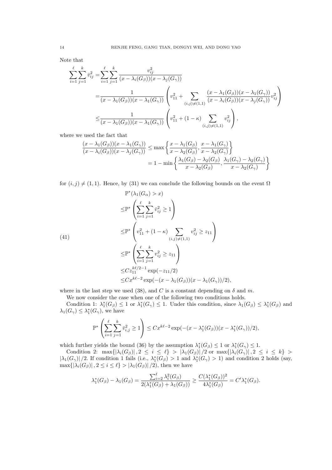Note that

$$
\sum_{i=1}^{\ell} \sum_{j=1}^{k} \bar{v}_{ij}^{2} = \sum_{i=1}^{\ell} \sum_{j=1}^{k} \frac{v_{ij}^{2}}{(x - \lambda_{i}(G_{\beta}))(x - \lambda_{j}(G_{\gamma}))}
$$
\n
$$
= \frac{1}{(x - \lambda_{1}(G_{\beta}))(x - \lambda_{1}(G_{\gamma}))} \left( v_{11}^{2} + \sum_{(i,j) \neq (1,1)} \frac{(x - \lambda_{1}(G_{\beta}))(x - \lambda_{1}(G_{\gamma}))}{(x - \lambda_{i}(G_{\beta}))(x - \lambda_{j}(G_{\gamma}))} v_{ij}^{2} \right)
$$
\n
$$
\leq \frac{1}{(x - \lambda_{1}(G_{\beta}))(x - \lambda_{1}(G_{\gamma}))} \left( v_{11}^{2} + (1 - \kappa) \sum_{(i,j) \neq (1,1)} v_{ij}^{2} \right),
$$

where we used the fact that

$$
\frac{(x - \lambda_1(G_\beta))(x - \lambda_1(G_\gamma))}{(x - \lambda_i(G_\beta))(x - \lambda_j(G_\gamma))} \le \max\left\{\frac{x - \lambda_1(G_\beta)}{x - \lambda_2(G_\beta)}, \frac{x - \lambda_1(G_\gamma)}{x - \lambda_2(G_\gamma)}\right\}
$$
\n
$$
= 1 - \min\left\{\frac{\lambda_1(G_\beta) - \lambda_2(G_\beta)}{x - \lambda_2(G_\beta)}, \frac{\lambda_1(G_\gamma) - \lambda_2(G_\gamma)}{x - \lambda_2(G_\gamma)}\right\}
$$

for  $(i, j) \neq (1, 1)$ . Hence, by (31) we can conclude the following bounds on the event  $\Omega$ 

$$
\mathbb{P}^*(\lambda_1(G_{\alpha}) > x)
$$
\n
$$
\leq \mathbb{P}^*\left(\sum_{i=1}^{\ell} \sum_{j=1}^{k} \bar{v}_{ij}^2 \geq 1\right)
$$
\n
$$
\leq \mathbb{P}^*\left(v_{11}^2 + (1 - \kappa) \sum_{(i,j) \neq (1,1)} v_{ij}^2 \geq z_{11}\right)
$$
\n
$$
\leq \mathbb{P}^*\left(\sum_{i=1}^{\ell} \sum_{j=1}^{k} v_{ij}^2 \geq z_{11}\right)
$$
\n
$$
\leq C z_{11}^{k\ell/2-1} \exp(-z_{11}/2)
$$
\n
$$
\leq C x^{k\ell-2} \exp(-(x - \lambda_1(G_{\beta}))(x - \lambda_1(G_{\gamma}))/2),
$$

where in the last step we used (38), and C is a constant depending on  $\delta$  and m.

We now consider the case when one of the following two conditions holds.

Condition 1:  $\lambda_1^*(G_\beta) \leq 1$  or  $\lambda_1^*(G_\gamma) \leq 1$ . Under this condition, since  $\lambda_1(G_\beta) \leq \lambda_1^*(G_\beta)$  and  $\lambda_1(G_\gamma) \leq \lambda_1^*(G_\gamma)$ , we have

$$
\mathbb{P}^*\left(\sum_{i=1}^{\ell}\sum_{j=1}^{k}\bar{v}_{i,j}^2\geq 1\right)\leq Cx^{k\ell-2}\exp(-(x-\lambda_1^*(G_{\beta}))(x-\lambda_1^*(G_{\gamma}))/2),
$$

which further yields the bound (36) by the assumption  $\lambda_1^*(G_\beta) \leq 1$  or  $\lambda_1^*(G_\gamma) \leq 1$ .

Condition 2:  $\max\{|\lambda_i(G_\beta)|, 2 \leq i \leq \ell\} > |\lambda_1(G_\beta)|/2$  or  $\max\{|\lambda_i(G_\gamma)|, 2 \leq i \leq k\} >$  $|\lambda_1(G_\gamma)|/2$ . If condition 1 fails (i.e.,  $\lambda_1^*(G_\beta) > 1$  and  $\lambda_1^*(G_\gamma) > 1$ ) and condition 2 holds (say,  $\max\{|\lambda_i(G_\beta)|, 2 \leq i \leq \ell\} > |\lambda_1(G_\beta)|/2$ , then we have

$$
\lambda_1^*(G_{\beta}) - \lambda_1(G_{\beta}) = \frac{\sum_{i=2}^{\ell} \lambda_i^2(G_{\beta})}{2(\lambda_1^*(G_{\beta}) + \lambda_1(G_{\beta}))} \ge \frac{C(\lambda_1^*(G_{\beta}))^2}{4\lambda_1^*(G_{\beta})} = C'\lambda_1^*(G_{\beta}).
$$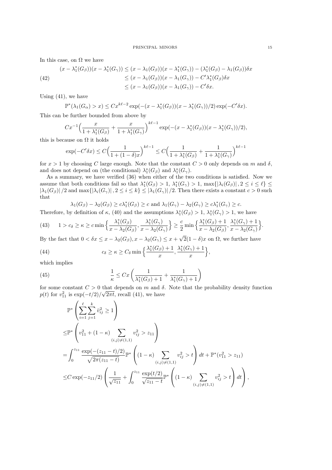In this case, on  $\Omega$  we have

(42)  
\n
$$
(x - \lambda_1^*(G_{\beta}))(x - \lambda_1^*(G_{\gamma})) \le (x - \lambda_1(G_{\beta}))(x - \lambda_1^*(G_{\gamma})) - (\lambda_1^*(G_{\beta}) - \lambda_1(G_{\beta}))\delta x
$$
\n
$$
\le (x - \lambda_1(G_{\beta}))(x - \lambda_1(G_{\gamma})) - C'\lambda_1^*(G_{\beta})\delta x
$$
\n
$$
\le (x - \lambda_1(G_{\beta}))(x - \lambda_1(G_{\gamma})) - C'\delta x.
$$

Using  $(41)$ , we have

$$
\mathbb{P}^*(\lambda_1(G_\alpha) > x) \le Cx^{k\ell - 2} \exp(-(x - \lambda_1^*(G_\beta))(x - \lambda_1^*(G_\gamma))/2) \exp(-C'\delta x).
$$

This can be further bounded from above by

$$
Cx^{-1}\left(\frac{x}{1+\lambda_1^*(G_{\beta})}+\frac{x}{1+\lambda_1^*(G_{\gamma})}\right)^{k\ell-1}\exp(-(x-\lambda_1^*(G_{\beta}))(x-\lambda_1^*(G_{\gamma}))/2),
$$

this is because on  $\Omega$  it holds

$$
\exp(-C'\delta x) \le C\left(\frac{1}{1+(1-\delta)x}\right)^{k\ell-1} \le C\left(\frac{1}{1+\lambda_1^*(G_{\beta})} + \frac{1}{1+\lambda_1^*(G_{\gamma})}\right)^{k\ell-1}
$$

for  $x > 1$  by choosing C large enough. Note that the constant  $C > 0$  only depends on m and  $\delta$ , and does not depend on (the conditional)  $\lambda_1^*(G_\beta)$  and  $\lambda_1^*(G_\gamma)$ .

As a summary, we have verified (36) when either of the two conditions is satisfied. Now we assume that both conditions fail so that  $\lambda_1^*(G_\beta) > 1$ ,  $\lambda_1^*(G_\gamma) > 1$ ,  $\max\{|\lambda_i(G_\beta)|, 2 \le i \le \ell\} \le$  $|\lambda_1(G_\beta)|/2$  and  $\max\{|\lambda_i(G_\gamma)|, 2 \leq i \leq k\} \leq |\lambda_1(G_\gamma)|/2$ . Then there exists a constant  $c > 0$  such that

$$
\lambda_1(G_{\beta}) - \lambda_2(G_{\beta}) \ge c\lambda_1^*(G_{\beta}) \ge c \text{ and } \lambda_1(G_{\gamma}) - \lambda_2(G_{\gamma}) \ge c\lambda_1^*(G_{\gamma}) \ge c.
$$

Therefore, by definition of  $\kappa$ , (40) and the assumptions  $\lambda_1^*(G_\beta) > 1$ ,  $\lambda_1^*(G_\gamma) > 1$ , we have

(43) 
$$
1 > c_{\delta} \ge \kappa \ge c \min\left\{\frac{\lambda_1^*(G_{\beta})}{x - \lambda_2(G_{\beta})}, \frac{\lambda_1^*(G_{\gamma})}{x - \lambda_2(G_{\gamma})}\right\} \ge \frac{c}{2} \min\left\{\frac{\lambda_1^*(G_{\beta}) + 1}{x - \lambda_2(G_{\beta})}, \frac{\lambda_1^*(G_{\gamma}) + 1}{x - \lambda_2(G_{\gamma})}\right\}.
$$

By the fact that  $0 < \delta x \leq x - \lambda_2(G_\beta), x - \lambda_2(G_\gamma) \leq x +$  $2(1 - \delta)x$  on  $\Omega$ , we further have

(44) 
$$
c_{\delta} \geq \kappa \geq C_{\delta} \min \Big\{ \frac{\lambda_1^*(G_{\beta}) + 1}{x}, \frac{\lambda_1^*(G_{\gamma}) + 1}{x} \Big\},\,
$$

which implies

(45) 
$$
\frac{1}{\kappa} \leq Cx \left( \frac{1}{\lambda_1^*(G_\beta) + 1} + \frac{1}{\lambda_1^*(G_\gamma) + 1} \right)
$$

for some constant  $C > 0$  that depends on m and  $\delta$ . Note that the probability density function  $p(t)$  for  $v_{11}^2$  is  $\exp(-t/2)/\sqrt{2\pi t}$ , recall (41), we have

$$
\mathbb{P}^*\left(\sum_{i=1}^{\ell} \sum_{j=1}^{k} \bar{v}_{ij}^2 \ge 1\right)
$$
\n
$$
\leq \mathbb{P}^*\left(v_{11}^2 + (1 - \kappa) \sum_{(i,j)\ne(1,1)} v_{ij}^2 > z_{11}\right)
$$
\n
$$
= \int_0^{z_{11}} \frac{\exp(-(z_{11} - t)/2)}{\sqrt{2\pi(z_{11} - t)}} \mathbb{P}^*\left((1 - \kappa) \sum_{(i,j)\ne(1,1)} v_{ij}^2 > t\right) dt + \mathbb{P}^*(v_{11}^2 > z_{11})
$$
\n
$$
\leq C \exp(-z_{11}/2) \left(\frac{1}{\sqrt{z_{11}}} + \int_0^{z_{11}} \frac{\exp(t/2)}{\sqrt{z_{11} - t}} \mathbb{P}^*\left((1 - \kappa) \sum_{(i,j)\ne(1,1)} v_{ij}^2 > t\right) dt\right),
$$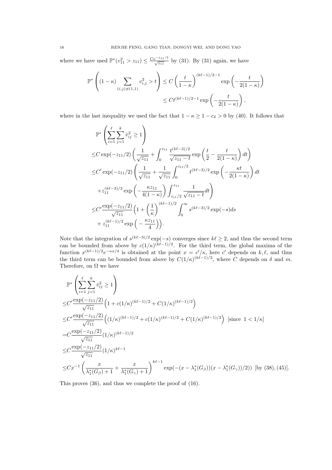where we have used  $\mathbb{P}^*(v_{11}^2 > z_{11}) \leq \frac{Ce^{-z_{11}/2}}{\sqrt{z_{11}}}$  by (31). By (31) again, we have

$$
\mathbb{P}^*\left((1-\kappa)\sum_{(i,j)\neq(1,1)}v_{i,j}^2>t\right)\leq C\left(\frac{t}{1-\kappa}\right)^{(k\ell-1)/2-1}\exp\left(-\frac{t}{2(1-\kappa)}\right)
$$

$$
\leq Ct^{(k\ell-1)/2-1}\exp\left(-\frac{t}{2(1-\kappa)}\right),
$$

where in the last inequality we used the fact that  $1 - \kappa \ge 1 - c_{\delta} > 0$  by (40). It follows that

$$
\mathbb{P}^*\left(\sum_{i=1}^{\ell}\sum_{j=1}^{k}\bar{v}_{ij}^2 \ge 1\right)
$$
\n
$$
\le C \exp(-z_{11}/2) \left(\frac{1}{\sqrt{z_{11}}} + \int_0^{z_{11}} \frac{t^{(k\ell-3)/2}}{\sqrt{z_{11}-t}} \exp\left(\frac{t}{2} - \frac{t}{2(1-\kappa)}\right) dt\right)
$$
\n
$$
\le C' \exp(-z_{11}/2) \left(\frac{1}{\sqrt{z_{11}}} + \frac{1}{\sqrt{z_{11}}} \int_0^{z_{11}/2} t^{(k\ell-3)/2} \exp\left(-\frac{\kappa t}{2(1-\kappa)}\right) dt\right)
$$
\n
$$
+ z_{11}^{(k\ell-3)/2} \exp\left(-\frac{\kappa z_{11}}{4(1-\kappa)}\right) \int_{z_{11}/2}^{z_{11}} \frac{1}{\sqrt{z_{11}-t}} dt\right)
$$
\n
$$
\le C' \frac{\exp(-z_{11}/2)}{\sqrt{z_{11}}} \left(1 + \left(\frac{1}{\kappa}\right)^{(k\ell-1)/2} \int_0^{\infty} s^{(k\ell-3)/2} \exp(-s) ds\right)
$$
\n
$$
+ z_{11}^{(k\ell-1)/2} \exp\left(-\frac{\kappa z_{11}}{4}\right).
$$

Note that the integration of  $s^{(k\ell-3)/2} \exp(-s)$  converges since  $k\ell \geq 2$ , and thus the second term can be bounded from above by  $c(1/\kappa)^{(k\ell-1)/2}$ . For the third term, the global maxima of the function  $x^{(k\ell-1)/2}e^{-\kappa x/4}$  is obtained at the point  $x = c'/\kappa$ , here c' depends on k,  $\ell$ , and thus the third term can be bounded from above by  $C(1/\kappa)^{(k\ell-1)/2}$ , where C depends on  $\delta$  and m. Therefore, on  $\Omega$  we have

$$
\mathbb{P}^*\left(\sum_{i=1}^{\ell}\sum_{j=1}^{k}\bar{v}_{ij}^2 \ge 1\right)
$$
\n
$$
\le C'\frac{\exp(-z_{11}/2)}{\sqrt{z_{11}}}\left(1 + c(1/\kappa)^{(k\ell-1)/2} + C(1/\kappa)^{(k\ell-1)/2}\right)
$$
\n
$$
\le C'\frac{\exp(-z_{11}/2)}{\sqrt{z_{11}}}\left((1/\kappa)^{(k\ell-1)/2} + c(1/\kappa)^{(k\ell-1)/2} + C(1/\kappa)^{(k\ell-1)/2}\right) \text{ [since } 1 < 1/\kappa\right]
$$
\n
$$
= C\frac{\exp(-z_{11}/2)}{\sqrt{z_{11}}} (1/\kappa)^{(k\ell-1)/2}
$$
\n
$$
\le C\frac{\exp(-z_{11}/2)}{\sqrt{z_{11}}} (1/\kappa)^{k\ell-1}
$$
\n
$$
\le Cx^{-1}\left(\frac{x}{\lambda_1^*(G_\beta)+1} + \frac{x}{\lambda_1^*(G_\gamma)+1}\right)^{k\ell-1} \exp(-(x-\lambda_1^*(G_\beta))(x-\lambda_1^*(G_\gamma))/2)) \text{ [by (38), (45)].}
$$

This proves (36), and thus we complete the proof of (16).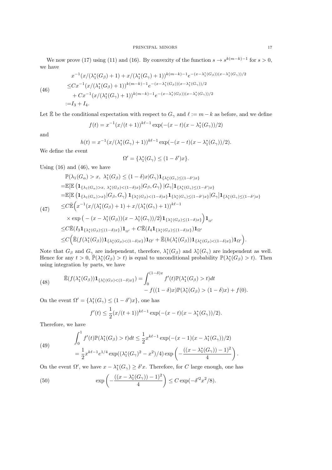We now prove (17) using (11) and (16). By convexity of the function  $s \to s^{k(m-k)-1}$  for  $s > 0$ , we have

(46)

$$
x^{-1}(x/(\lambda_1^*(G_{\beta})+1)+x/(\lambda_1^*(G_{\gamma})+1))^{k(m-k)-1}e^{-(x-\lambda_1^*(G_{\beta}))(x-\lambda_1^*(G_{\gamma}))/2}
$$
  
\n
$$
\leq C x^{-1}(x/(\lambda_1^*(G_{\beta})+1))^{k(m-k)-1}e^{-(x-\lambda_1^*(G_{\beta}))(x-\lambda_1^*(G_{\gamma}))/2}
$$
  
\n
$$
+ C x^{-1}(x/(\lambda_1^*(G_{\gamma})+1))^{k(m-k)-1}e^{-(x-\lambda_1^*(G_{\beta}))(x-\lambda_1^*(G_{\gamma}))/2}
$$
  
\n:=I<sub>3</sub> + I<sub>4</sub>.

Let  $\bar{\mathbb{E}}$  be the conditional expectation with respect to  $G_{\gamma}$  and  $\ell := m - k$  as before, and we define

$$
f(t) = x^{-1}(x/(t+1))^{k\ell-1} \exp(-(x-t)(x-\lambda_1^*(G_\gamma))/2)
$$

and

$$
h(t) = x^{-1} (x/(\lambda_1^*(G_\gamma) + 1))^{k\ell - 1} \exp(-(x - t)(x - \lambda_1^*(G_\gamma))/2).
$$

We define the event

$$
\Omega' = \{\lambda_1^*(G_\gamma) \le (1 - \delta')x\}.
$$

Using  $(16)$  and  $(46)$ , we have

$$
\mathbb{P}(\lambda_{1}(G_{\alpha}) > x, \ \lambda_{1}^{*}(G_{\beta}) \leq (1-\delta)x|G_{\gamma})\mathbf{1}_{\{\lambda_{1}^{*}(G_{\gamma})\leq (1-\delta')x\}}\n= \mathbb{E}[\mathbb{E}\left(\mathbf{1}_{\{\lambda_{1}(G_{\alpha})>x, \ \lambda_{1}^{*}(G_{\beta})< (1-\delta)x\}}|G_{\beta}, G_{\gamma}\right)|G_{\gamma}]\mathbf{1}_{\{\lambda_{1}^{*}(G_{\gamma})\leq (1-\delta')x\}}\n= \mathbb{E}[\mathbb{E}\left(\mathbf{1}_{\{\lambda_{1}(G_{\alpha})>x\}}|G_{\beta}, G_{\gamma}\right)\mathbf{1}_{\{\lambda_{1}^{*}(G_{\beta})< (1-\delta)x\}}\mathbf{1}_{\{\lambda_{1}^{*}(G_{\gamma})\leq (1-\delta')x\}}|G_{\gamma}]\mathbf{1}_{\{\lambda_{1}^{*}(G_{\gamma})\leq (1-\delta')x\}}\n\leq C\mathbb{E}\left(x^{-1}(x/(\lambda_{1}^{*}(G_{\beta})+1)+x/(\lambda_{1}^{*}(G_{\gamma})+1))^{k\ell-1}\n\times \exp\left(-(x-\lambda_{1}^{*}(G_{\beta}))(x-\lambda_{1}^{*}(G_{\gamma}))/2\right)\mathbf{1}_{\{\lambda_{1}^{*}(G_{\beta})\leq (1-\delta)x\}}\right)\mathbf{1}_{\Omega'}\n\leq C\mathbb{E}(I_{3}\mathbf{1}_{\{\lambda_{1}^{*}(G_{\beta})\leq (1-\delta)x\}})\mathbf{1}_{\Omega'} + C\mathbb{E}(I_{4}\mathbf{1}_{\{\lambda_{1}^{*}(G_{\beta})\leq (1-\delta)x\}})\mathbf{1}_{\Omega'}\n\leq C\left(\mathbb{E}(f(\lambda_{1}^{*}(G_{\beta}))\mathbf{1}_{\{\lambda_{1}^{*}(G_{\beta})< (1-\delta)x\}})\mathbf{1}_{\Omega'} + \mathbb{E}(h(\lambda_{1}^{*}(G_{\beta}))\mathbf{1}_{\{\lambda_{1}^{*}(G_{\beta})< (1-\delta)x\}})\mathbf{1}_{\Omega'}\right).
$$

Note that  $G_{\beta}$  and  $G_{\gamma}$  are independent, therefore,  $\lambda_1^*(G_{\beta})$  and  $\lambda_1^*(G_{\gamma})$  are independent as well. Hence for any  $t > 0$ ,  $\overline{\mathbb{P}}(\lambda_1^*(G_{\beta}) > t)$  is equal to unconditional probability  $\mathbb{P}(\lambda_1^*(G_{\beta}) > t)$ . Then using integration by parts, we have

(48) 
$$
\bar{\mathbb{E}}(f(\lambda_1^*(G_{\beta}))\mathbf{1}_{\{\lambda_1^*(G_{\beta}) < (1-\delta)x\}}) = \int_0^{(1-\delta)x} f'(t)\mathbb{P}(\lambda_1^*(G_{\beta}) > t)dt - f((1-\delta)x)\mathbb{P}(\lambda_1^*(G_{\beta}) > (1-\delta)x) + f(0).
$$

On the event  $\Omega' = {\lambda_1^*(G_\gamma) \le (1 - \delta')x}$ , one has

$$
f'(t) \le \frac{1}{2} (x/(t+1))^{k\ell-1} \exp(-(x-t)(x-\lambda_1^*(G_{\gamma}))/2).
$$

Therefore, we have

(49) 
$$
\int_0^1 f'(t) \mathbb{P}(\lambda_1^*(G_\beta) > t) dt \le \frac{1}{2} x^{k\ell - 1} \exp(-(x - 1)(x - \lambda_1^*(G_\gamma))/2)
$$

$$
= \frac{1}{2} x^{k\ell - 1} e^{1/4} \exp((\lambda_1^*(G_\gamma)^2 - x^2)/4) \exp\left(-\frac{((x - \lambda_1^*(G_\gamma)) - 1)^2}{4}\right).
$$

On the event  $\Omega'$ , we have  $x - \lambda_1^*(G_\gamma) \ge \delta' x$ . Therefore, for C large enough, one has

(50) 
$$
\exp\left(-\frac{((x-\lambda_1^*(G_\gamma))-1)^2}{4}\right) \le C \exp(-\delta'^2 x^2/8).
$$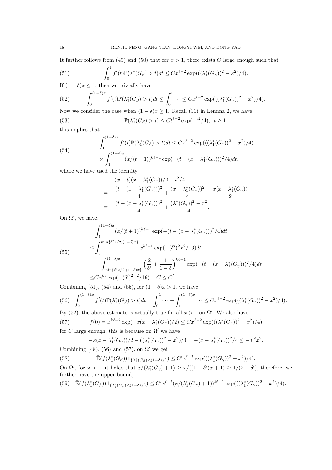It further follows from (49) and (50) that for  $x > 1$ , there exists C large enough such that

(51) 
$$
\int_0^1 f'(t) \mathbb{P}(\lambda_1^*(G_{\beta}) > t) dt \leq C x^{\ell-2} \exp(((\lambda_1^*(G_{\gamma}))^2 - x^2)/4).
$$

If  $(1 - \delta)x \leq 1$ , then we trivially have

(52) 
$$
\int_0^{(1-\delta)x} f'(t) \mathbb{P}(\lambda_1^*(G_{\beta}) > t) dt \leq \int_0^1 \cdots \leq C x^{\ell-2} \exp(((\lambda_1^*(G_{\gamma}))^2 - x^2)/4).
$$

Now we consider the case when  $(1 - \delta)x \geq 1$ . Recall (11) in Lemma 2, we have

(53) 
$$
\mathbb{P}(\lambda_1^*(G_{\beta}) > t) \le Ct^{\ell-2} \exp(-t^2/4), \ t \ge 1,
$$

this implies that

(54)  

$$
\int_{1}^{(1-\delta)x} f'(t) \mathbb{P}(\lambda_1^*(G_{\beta}) > t) dt \leq C x^{\ell-2} \exp(((\lambda_1^*(G_{\gamma}))^2 - x^2)/4)
$$

$$
\times \int_{1}^{(1-\delta)x} (x/(t+1))^{k\ell-1} \exp(-(t - (x - \lambda_1^*(G_{\gamma})))^2/4) dt,
$$

where we have used the identity

$$
-(x-t)(x-\lambda_1^*(G_\gamma))/2 - t^2/4
$$
  
=  $-\frac{(t-(x-\lambda_1^*(G_\gamma)))^2}{4} + \frac{(x-\lambda_1^*(G_\gamma))^2}{4} - \frac{x(x-\lambda_1^*(G_\gamma))}{2}$   
=  $-\frac{(t-(x-\lambda_1^*(G_\gamma)))^2}{4} + \frac{(\lambda_1^*(G_\gamma))^2 - x^2}{4}.$ 

On  $\Omega'$ , we have,

$$
\int_{1}^{(1-\delta)x} (x/(t+1))^{k\ell-1} \exp(-(t - (x - \lambda_1^*(G_{\gamma})))^2/4) dt
$$
\n
$$
\leq \int_{0}^{\min\{\delta' x/2, (1-\delta)x\}} x^{k\ell-1} \exp(-( \delta')^2 x^2/16) dt
$$
\n
$$
+ \int_{\min\{\delta' x/2, (1-\delta)x\}}^{(1-\delta)x} \left(\frac{2}{\delta'} + \frac{1}{1-\delta}\right)^{k\ell-1} \exp(-(t - (x - \lambda_1^*(G_{\gamma})))^2/4) dt
$$
\n
$$
\leq C x^{k\ell} \exp(-( \delta')^2 x^2/16) + C \leq C'.
$$

Combining (51), (54) and (55), for  $(1 - \delta)x > 1$ , we have

$$
(56)\int_0^{(1-\delta)x} f'(t) \mathbb{P}(\lambda_1^*(G_{\beta}) > t) dt = \int_0^1 \cdots + \int_1^{(1-\delta)x} \cdots \leq C x^{\ell-2} \exp(((\lambda_1^*(G_{\gamma}))^2 - x^2)/4).
$$

By (52), the above estimate is actually true for all  $x > 1$  on  $\Omega'$ . We also have

(57) 
$$
f(0) = x^{k\ell-2} \exp(-x(x - \lambda_1^*(G_\gamma))/2) \leq C x^{\ell-2} \exp(((\lambda_1^*(G_\gamma))^2 - x^2)/4)
$$
for C large enough, this is because on  $\Omega'$  we have

$$
-x(x-\lambda_1^*(G_\gamma))/2 - ((\lambda_1^*(G_\gamma))^2 - x^2)/4 = -(x-\lambda_1^*(G_\gamma))^2/4 \le -\delta'^2 x^2.
$$

Combining (48), (56) and (57), on  $\Omega'$  we get

(58) 
$$
\bar{\mathbb{E}}(f(\lambda_1^*(G_{\beta}))\mathbf{1}_{\{\lambda_1^*(G_{\beta}) < (1-\delta)x\}}) \leq C'x^{\ell-2}\exp(((\lambda_1^*(G_{\gamma}))^2 - x^2)/4).
$$

On  $\Omega'$ , for  $x > 1$ , it holds that  $x/(\lambda_1^*(G_\gamma) + 1) \ge x/((1 - \delta')x + 1) \ge 1/(2 - \delta')$ , therefore, we further have the upper bound,

$$
(59) \quad \mathbb{E}(f(\lambda_1^*(G_{\beta}))\mathbf{1}_{\{\lambda_1^*(G_{\beta})<(1-\delta)x\}}) \leq C'x^{\ell-2}(x/(\lambda_1^*(G_{\gamma})+1))^{k\ell-1}\exp(((\lambda_1^*(G_{\gamma}))^2-x^2)/4).
$$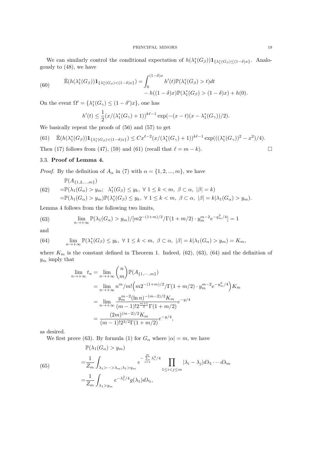We can similarly control the conditional expectation of  $h(\lambda_1^*(G_\beta))\mathbf{1}_{\{\lambda_1^*(G_\beta)\leq(1-\delta)x\}}$ . Analogously to (48), we have

(60) 
$$
\overline{\mathbb{E}}(h(\lambda_1^*(G_{\beta}))\mathbf{1}_{\{\lambda_1^*(G_{\beta})<(1-\delta)x\}}) = \int_0^{(1-\delta)x} h'(t)\mathbb{P}(\lambda_1^*(G_{\beta})>t)dt -h((1-\delta)x)\mathbb{P}(\lambda_1^*(G_{\beta})>(1-\delta)x)+h(0).
$$

On the event  $\Omega' = {\lambda_1^*(G_\gamma) \le (1 - \delta')x}$ , one has

$$
h'(t) \le \frac{1}{2} (x/(\lambda_1^*(G_\gamma) + 1))^{k\ell - 1} \exp(-(x - t)(x - \lambda_1^*(G_\gamma))/2).
$$

We basically repeat the proofs of (56) and (57) to get

(61) 
$$
\bar{\mathbb{E}}(h(\lambda_1^*(G_{\beta}))\mathbf{1}_{\{\lambda_1^*(G_{\beta}) < (1-\delta)x\}}) \leq Cx^{\ell-2}(x/(\lambda_1^*(G_{\gamma})+1))^{k\ell-1}\exp(((\lambda_1^*(G_{\gamma}))^2-x^2)/4).
$$
\nThen (17) follows from (47), (59) and (61) (recall that  $\ell = m - k$ ).

# 3.3. Proof of Lemma 4.

*Proof.* By the definition of  $A_{\alpha}$  in (7) with  $\alpha = \{1, 2, ..., m\}$ , we have

$$
\mathbb{P}(A_{\{1,2,\ldots,m\}})
$$
\n
$$
(62) \quad = \mathbb{P}(\lambda_1(G_{\alpha}) > y_m; \ \lambda_1^*(G_{\beta}) \le y_k, \ \forall \ 1 \le k < m, \ \beta \subset \alpha, \ |\beta| = k)
$$
\n
$$
= \mathbb{P}(\lambda_1(G_{\alpha}) > y_m) \mathbb{P}(\lambda_1^*(G_{\beta}) \le y_k, \ \forall \ 1 \le k < m, \ \beta \subset \alpha, \ |\beta| = k | \lambda_1(G_{\alpha}) > y_m).
$$

Lemma 4 follows from the following two limits,

(63) 
$$
\lim_{n \to +\infty} \mathbb{P}(\lambda_1(G_\alpha) > y_m) / [m2^{-(1+m)/2}/\Gamma(1+m/2) \cdot y_m^{m-2} e^{-y_m^2/4}] = 1
$$

and

(64) 
$$
\lim_{n \to +\infty} \mathbb{P}(\lambda_1^*(G_{\beta}) \le y_k, \ \forall \ 1 \le k < m, \ \beta \subset \alpha, \ |\beta| = k|\lambda_1(G_{\alpha}) > y_m) = K_m,
$$

where  $K_m$  is the constant defined in Theorem 1. Indeed, (62), (63), (64) and the definition of  $y_m$  imply that

$$
\lim_{n \to +\infty} t_n = \lim_{n \to +\infty} {n \choose m} \mathbb{P}(A_{\{1, \cdots, m\}})
$$
  
\n
$$
= \lim_{n \to +\infty} n^m/m! \left( m2^{-(1+m)/2} / \Gamma(1+m/2) \cdot y_m^{m-2} e^{-y_m^2/4} \right) K_m
$$
  
\n
$$
= \lim_{n \to +\infty} \frac{y_m^{m-2} (\ln n)^{-(m-2)/2} K_m}{(m-1)! 2^{\frac{m+1}{2}} \Gamma(1+m/2)} e^{-y/4}
$$
  
\n
$$
= \frac{(2m)^{(m-2)/2} K_m}{(m-1)! 2^{3/2} \Gamma(1+m/2)} e^{-y/4},
$$

as desired.

We first prove (63). By formula (1) for  $G_{\alpha}$  where  $|\alpha| = m$ , we have

(65)  
\n
$$
\mathbb{P}(\lambda_1(G_{\alpha}) > y_m)
$$
\n
$$
= \frac{1}{Z_m} \int_{\lambda_1 > \dots > \lambda_m; \lambda_1 > y_m} e^{-\sum_{i=1}^m \lambda_i^2/4} \prod_{1 \le i < j \le m} |\lambda_i - \lambda_j| d\lambda_1 \dots d\lambda_m
$$
\n
$$
= \frac{1}{Z_m} \int_{\lambda_1 > y_m} e^{-\lambda_1^2/4} g(\lambda_1) d\lambda_1,
$$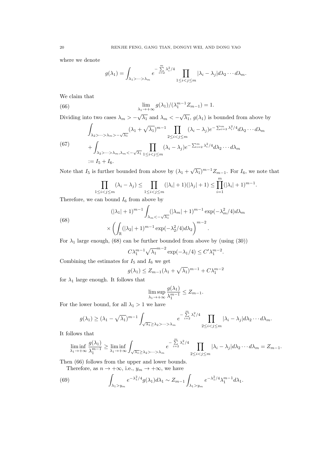where we denote

$$
g(\lambda_1) = \int_{\lambda_1 > \dots > \lambda_m} e^{-\sum\limits_{i=2}^m \lambda_i^2/4} \prod_{1 \le i < j \le m} |\lambda_i - \lambda_j| d\lambda_2 \cdots d\lambda_m.
$$

We claim that

(66) 
$$
\lim_{\lambda_1 \to +\infty} g(\lambda_1) / (\lambda_1^{m-1} Z_{m-1}) = 1.
$$

Dividing into two cases  $\lambda_m > -\sqrt{\lambda_1}$  and  $\lambda_m < -\sqrt{\lambda_1}$ ,  $g(\lambda_1)$  is bounded from above by

$$
\int_{\lambda_2 > \dots > \lambda_m > -\sqrt{\lambda_1}} (\lambda_1 + \sqrt{\lambda_1})^{m-1} \prod_{2 \le i < j \le m} (\lambda_i - \lambda_j) e^{-\sum_{i=2}^m \lambda_i^2 / 4} d\lambda_2 \dots d\lambda_m
$$
\n
$$
+ \int_{\lambda_2 > \dots > \lambda_m, \lambda_m < -\sqrt{\lambda_1}} \prod_{1 \le i < j \le m} (\lambda_i - \lambda_j) e^{-\sum_{i=2}^m \lambda_i^2 / 4} d\lambda_2 \dots d\lambda_m
$$
\n
$$
:= I_5 + I_6.
$$

Note that  $I_5$  is further bounded from above by  $(\lambda_1 + \sqrt{\lambda_1})^{m-1} Z_{m-1}$ . For  $I_6$ , we note that

$$
\prod_{1 \le i < j \le m} (\lambda_i - \lambda_j) \le \prod_{1 \le i < j \le m} (|\lambda_i| + 1)(|\lambda_j| + 1) \le \prod_{i=1}^m (|\lambda_i| + 1)^{m-1}.
$$

Therefore, we can bound  $I_6$  from above by

(68)  

$$
(|\lambda_1| + 1)^{m-1} \int_{\lambda_m < -\sqrt{\lambda_1}} (|\lambda_m| + 1)^{m-1} \exp(-\lambda_m^2/4) d\lambda_m
$$

$$
\times \left( \int_{\mathbb{R}} (|\lambda_2| + 1)^{m-1} \exp(-\lambda_2^2/4) d\lambda_2 \right)^{m-2}.
$$

For  $\lambda_1$  large enough, (68) can be further bounded from above by (using (30))

$$
C\lambda_1^{m-1}\sqrt{\lambda_1}^{m-2}\exp(-\lambda_1/4) \le C'\lambda_1^{m-2}.
$$

Combining the estimates for  $I_5$  and  $I_6$  we get

$$
g(\lambda_1) \le Z_{m-1}(\lambda_1 + \sqrt{\lambda_1})^{m-1} + C\lambda_1^{m-2}
$$

for  $\lambda_1$  large enough. It follows that

$$
\limsup_{\lambda_1 \to +\infty} \frac{g(\lambda_1)}{\lambda_1^{m-1}} \le Z_{m-1}.
$$

For the lower bound, for all  $\lambda_1 > 1$  we have

$$
g(\lambda_1) \geq (\lambda_1 - \sqrt{\lambda_1})^{m-1} \int_{\sqrt{\lambda_1} \geq \lambda_2 > \cdots > \lambda_m} e^{-\sum\limits_{i=2}^m \lambda_i^2/4} \prod_{2 \leq i < j \leq m} |\lambda_i - \lambda_j| d\lambda_2 \cdots d\lambda_m.
$$

It follows that

$$
\liminf_{\lambda_1 \to +\infty} \frac{g(\lambda_1)}{\lambda_1^{m-1}} \ge \liminf_{\lambda_1 \to +\infty} \int_{\sqrt{\lambda_1} \ge \lambda_2 > \cdots > \lambda_m} e^{-\sum_{i=2}^m \lambda_i^2/4} \prod_{2 \le i < j \le m} |\lambda_i - \lambda_j| d\lambda_2 \cdots d\lambda_m = Z_{m-1}.
$$

Then (66) follows from the upper and lower bounds.

Therefore, as  $n \to +\infty$ , i.e.,  $y_m \to +\infty$ , we have

(69) 
$$
\int_{\lambda_1 > y_m} e^{-\lambda_1^2/4} g(\lambda_1) d\lambda_1 \sim Z_{m-1} \int_{\lambda_1 > y_m} e^{-\lambda_1^2/4} \lambda_1^{m-1} d\lambda_1.
$$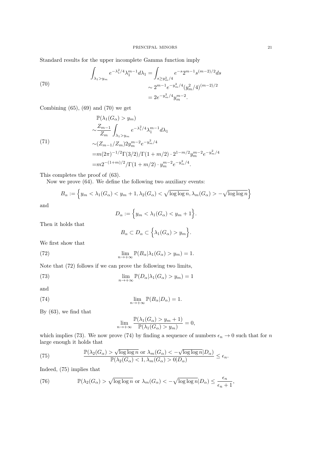Standard results for the upper incomplete Gamma function imply

(70)  
\n
$$
\int_{\lambda_1 > y_m} e^{-\lambda_1^2/4} \lambda_1^{m-1} d\lambda_1 = \int_{s \ge y_m^2/4} e^{-s} 2^{m-1} s^{(m-2)/2} ds
$$
\n
$$
\sim 2^{m-1} e^{-y_m^2/4} (y_m^2/4)^{(m-2)/2}
$$
\n
$$
= 2e^{-y_m^2/4} y_m^{m-2}.
$$

Combining  $(65)$ ,  $(69)$  and  $(70)$  we get

(71)  
\n
$$
\mathbb{P}(\lambda_1(G_{\alpha}) > y_m)
$$
\n
$$
\sim \frac{Z_{m-1}}{Z_m} \int_{\lambda_1 > y_m} e^{-\lambda_1^2/4} \lambda_1^{m-1} d\lambda_1
$$
\n
$$
\sim (Z_{m-1}/Z_m) 2y_m^{m-2} e^{-y_m^2/4}
$$
\n
$$
= m(2\pi)^{-1/2} \Gamma(3/2) / \Gamma(1 + m/2) \cdot 2^{1 - m/2} y_m^{m-2} e^{-y_m^2/4}
$$
\n
$$
= m2^{-(1+m)/2} / \Gamma(1 + m/2) \cdot y_m^{m-2} e^{-y_m^2/4}.
$$

This completes the proof of (63).

Now we prove (64). We define the following two auxiliary events:

$$
B_{\alpha} := \left\{ y_m < \lambda_1(G_{\alpha}) < y_m + 1, \lambda_2(G_{\alpha}) < \sqrt{\log \log n}, \lambda_m(G_{\alpha}) > -\sqrt{\log \log n} \right\}
$$

and

$$
D_{\alpha} := \Big\{ y_m < \lambda_1(G_{\alpha}) < y_m + 1 \Big\}.
$$

Then it holds that

$$
B_{\alpha} \subset D_{\alpha} \subset \left\{ \lambda_1(G_{\alpha}) > y_m \right\}.
$$

We first show that

(72) 
$$
\lim_{n \to +\infty} \mathbb{P}(B_{\alpha}|\lambda_1(G_{\alpha}) > y_m) = 1.
$$

Note that (72) follows if we can prove the following two limits,

(73) 
$$
\lim_{n \to +\infty} \mathbb{P}(D_{\alpha}|\lambda_1(G_{\alpha}) > y_m) = 1
$$

and

(74) 
$$
\lim_{n \to +\infty} \mathbb{P}(B_{\alpha}|D_{\alpha}) = 1.
$$

By (63), we find that

$$
\lim_{n \to +\infty} \frac{\mathbb{P}(\lambda_1(G_\alpha) > y_m + 1)}{\mathbb{P}(\lambda_1(G_\alpha) > y_m)} = 0,
$$

which implies (73). We now prove (74) by finding a sequence of numbers  $\epsilon_n \to 0$  such that for n large enough it holds that

(75) 
$$
\frac{\mathbb{P}(\lambda_2(G_{\alpha}) > \sqrt{\log \log n} \text{ or } \lambda_m(G_{\alpha}) < -\sqrt{\log \log n} | D_{\alpha})}{\mathbb{P}(\lambda_2(G_{\alpha}) < 1, \lambda_m(G_{\alpha}) > 0 | D_{\alpha})} \le \epsilon_n.
$$

Indeed, (75) implies that

(76) 
$$
\mathbb{P}(\lambda_2(G_{\alpha}) > \sqrt{\log \log n} \text{ or } \lambda_m(G_{\alpha}) < -\sqrt{\log \log n} |D_{\alpha}) \leq \frac{\epsilon_n}{\epsilon_n + 1},
$$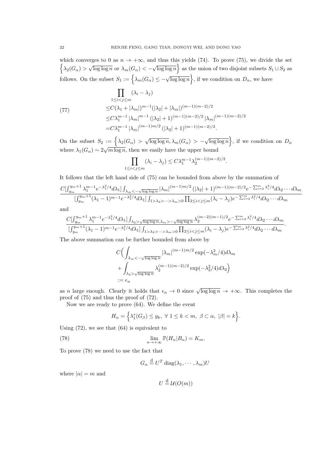which converges to 0 as  $n \to +\infty$ , and thus this yields (74). To prove (75), we divide the set  $\{\lambda_2(G_\alpha) > \sqrt{\log \log n} \text{ or } \lambda_m(G_\alpha) < -\sqrt{\log \log n}\}\$  as the union of two disjoint subsets  $S_1 \cup S_2$  as follows. On the subset  $S_1 := \left\{ \lambda_m(G_\alpha) \leq -\sqrt{\log \log n} \right\}$ , if we condition on  $D_\alpha$ , we have

$$
\prod_{1 \le i < j \le m} (\lambda_i - \lambda_j)
$$
\n
$$
\le C(\lambda_1 + |\lambda_m|)^{m-1} (|\lambda_2| + |\lambda_m|)^{(m-1)(m-2)/2}
$$
\n
$$
\le C\lambda_1^{m-1} |\lambda_m|^{m-1} (|\lambda_2| + 1)^{(m-1)(m-2)/2} |\lambda_m|^{(m-1)(m-2)/2}
$$
\n
$$
= C\lambda_1^{m-1} |\lambda_m|^{(m-1)m/2} (|\lambda_2| + 1)^{(m-1)(m-2)/2}.
$$

On the subset  $S_2 := \left\{ \lambda_2(G_\alpha) > \sqrt{\log \log n}, \lambda_m(G_\alpha) > -\sqrt{\log \log n} \right\}$ , if we condition on  $D_\alpha$ where  $\lambda_1(G_\alpha) \sim 2\sqrt{m \log n}$ , then we easily have the upper bound

$$
\prod_{1 \le i < j \le m} (\lambda_i - \lambda_j) \le C \lambda_1^{m-1} \lambda_2^{(m-1)(m-2)/2}.
$$

It follows that the left hand side of (75) can be bounded from above by the summation of

$$
\frac{C[\int_{y_m}^{y_m+1}\lambda_1^{m-1}e^{-\lambda_1^2/4}d\lambda_1]\int_{\lambda_m<-\sqrt{\log\log n}}|\lambda_m|^{(m-1)m/2}(|\lambda_2|+1)^{(m-1)(m-2)/2}e^{-\sum_{i=2}^m\lambda_i^2/4}d\lambda_2\cdots d\lambda_m}{[\int_{y_m}^{y_m+1}(\lambda_1-1)^{m-1}e^{-\lambda_1^2/4}d\lambda_1]\int_{1>\lambda_2>\cdots>\lambda_m>0}\prod_{2\leq i
$$

and

$$
\frac{C\left[\int_{y_m}^{y_m+1}\lambda_1^{m-1}e^{-\lambda_1^2/4}d\lambda_1\right]\int_{\lambda_2\geq\sqrt{\log\log n},\lambda_m>-\sqrt{\log\log n}}\lambda_2^{(m-2)(m-1)/2}e^{-\sum_{i=2}^m\lambda_i^2/4}d\lambda_2\cdots d\lambda_m}{\left[\int_{y_m}^{y_m+1}(\lambda_1-1)^{m-1}e^{-\lambda_1^2/4}d\lambda_1\right]\int_{1>\lambda_2\geq\cdots>\lambda_m>0}\prod_{2\leq i
$$

The above summation can be further bounded from above by

$$
C\Big(\int_{\lambda_m < -\sqrt{\log\log n}} |\lambda_m|^{(m-1)m/2} \exp(-\lambda_m^2/4) d\lambda_m
$$
  
+ 
$$
\int_{\lambda_2 > \sqrt{\log\log n}} \lambda_2^{(m-1)(m-2)/2} \exp(-\lambda_2^2/4) d\lambda_2\Big)
$$
  
:=  $\epsilon_n$ 

as n large enough. Clearly it holds that  $\epsilon_n \to 0$  since  $\sqrt{\log \log n} \to +\infty$ . This completes the proof of (75) and thus the proof of (72).

Now we are ready to prove (64). We define the event

$$
H_{\alpha} = \left\{ \lambda_1^*(G_{\beta}) \le y_k, \ \forall \ 1 \le k < m, \ \beta \subset \alpha, \ |\beta| = k \right\}.
$$

Using (72), we see that (64) is equivalent to

(78) 
$$
\lim_{n \to +\infty} \mathbb{P}(H_{\alpha}|B_{\alpha}) = K_m.
$$

To prove (78) we need to use the fact that

 $G_{\alpha} \stackrel{\text{d}}{=} U^T \operatorname{diag}(\lambda_1, \cdots, \lambda_m)U$ 

where  $|\alpha| = m$  and

$$
U \stackrel{\text{d}}{=} \mathcal{U}(O(m))
$$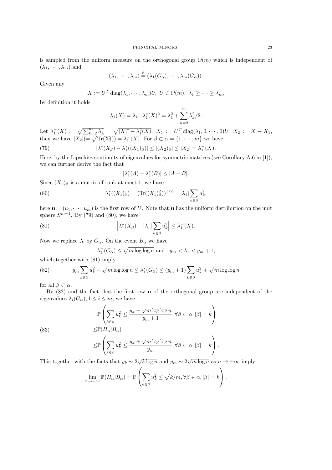is sampled from the uniform measure on the orthogonal group  $O(m)$  which is independent of  $(\lambda_1, \cdots, \lambda_m)$  and

$$
(\lambda_1, \cdots, \lambda_m) \stackrel{d}{=} (\lambda_1(G_\alpha), \cdots, \lambda_m(G_\alpha)).
$$

Given any

$$
X := U^T \operatorname{diag}(\lambda_1, \cdots, \lambda_m) U, \ U \in O(m), \ \lambda_1 \geq \cdots \geq \lambda_m,
$$

by definition it holds

$$
\lambda_1(X) = \lambda_1, \ \lambda_1^*(X)^2 = \lambda_1^2 + \sum_{k=2}^m \lambda_k^2/2.
$$

Let  $\lambda_1^-(X) := \sqrt{\sum_{k=2}^m \lambda_k^2} = \sqrt{|X|^2 - \lambda_1^2(X)}, \ X_1 := U^T \text{diag}(\lambda_1, 0, \dots, 0)U, \ X_2 := X - X_1,$ then we have  $|X_2| = \sqrt{\text{Tr}(X_2^2)} = \lambda_1^-(X)$ . For  $\beta \subset \alpha = \{1, \dots, m\}$  we have

(79) 
$$
|\lambda_1^*(X_\beta) - \lambda_1^*((X_1)_\beta)| \le |(X_2)_\beta| \le |X_2| = \lambda_1^-(X).
$$

Here, by the Lipschitz continuity of eigenvalues for symmetric matrices (see Corollary A.6 in [1]), we can further derive the fact that

$$
|\lambda_1^*(A) - \lambda_1^*(B)| \le |A - B|.
$$

Since  $(X_1)_{\beta}$  is a matrix of rank at most 1, we have

(80) 
$$
\lambda_1^*((X_1)_{\beta}) = (\text{Tr}((X_1)_{\beta}^2))^{1/2} = |\lambda_1| \sum_{k \in \beta} u_k^2,
$$

here  $\mathbf{u} = (u_1, \dots, u_m)$  is the first row of U. Note that **u** has the uniform distribution on the unit sphere  $S^{m-1}$ . By (79) and (80), we have

(81) 
$$
\left|\lambda_1^*(X_\beta)-|\lambda_1|\sum_{k\in\beta}u_k^2\right|\leq\lambda_1^-(X).
$$

Now we replace X by  $G_{\alpha}$ . On the event  $B_{\alpha}$  we have

$$
\lambda_1^-(G_\alpha) \le \sqrt{m \log \log n} \text{ and } y_m < \lambda_1 < y_m + 1,
$$

which together with (81) imply

(82) 
$$
y_m \sum_{k \in \beta} u_k^2 - \sqrt{m \log \log n} \leq \lambda_1^*(G_\beta) \leq (y_m + 1) \sum_{k \in \beta} u_k^2 + \sqrt{m \log \log n}
$$

for all  $\beta \subset \alpha$ .

(83)

By  $(82)$  and the fact that the first row **u** of the orthogonal group are independent of the eigenvalues  $\lambda_i(G_\alpha), 1 \leq i \leq m$ , we have

$$
\mathbb{P}\left(\sum_{k\in\beta}u_k^2\leq \frac{y_k-\sqrt{m\log\log n}}{y_m+1}, \forall \beta\subset\alpha, |\beta|=k\right)
$$
  

$$
\leq \mathbb{P}(H_{\alpha}|B_{\alpha})
$$
  

$$
\leq \mathbb{P}\left(\sum_{k\in\beta}u_k^2\leq \frac{y_k+\sqrt{m\log\log n}}{y_m}, \forall \beta\subset\alpha, |\beta|=k\right).
$$

This together with the facts that  $y_k \sim 2\sqrt{k \log n}$  and  $y_m \sim 2\sqrt{m \log n}$  as  $n \to +\infty$  imply

$$
\lim_{n \to +\infty} \mathbb{P}(H_{\alpha}|B_{\alpha}) = \mathbb{P}\left(\sum_{k \in \beta} u_k^2 \le \sqrt{k/m}, \forall \beta \in \alpha, |\beta| = k\right),\,
$$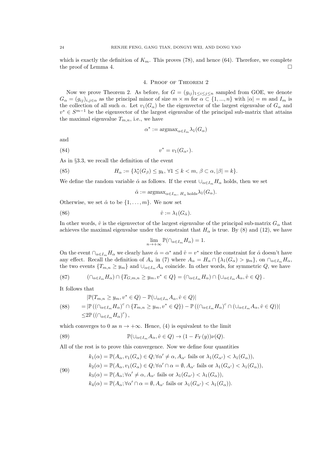which is exactly the definition of  $K_m$ . This proves (78), and hence (64). Therefore, we complete the proof of Lemma 4.  $\Box$ 

#### 4. Proof of Theorem 2

Now we prove Theorem 2. As before, for  $G = (g_{ij})_{1 \leq i \leq j \leq n}$  sampled from GOE, we denote  $G_{\alpha} = (g_{ij})_{i,j \in \alpha}$  as the principal minor of size  $m \times m$  for  $\alpha \in \{1, ..., n\}$  with  $|\alpha| = m$  and  $I_m$  is the collection of all such  $\alpha$ . Let  $v_1(G_\alpha)$  be the eigenvector of the largest eigenvalue of  $G_\alpha$  and  $v^* \in S^{m-1}$  be the eigenvector of the largest eigenvalue of the principal sub-matrix that attains the maximal eigenvalue  $T_{m,n}$ , i.e., we have

$$
\alpha^* := \operatorname{argmax}_{\alpha \in I_m} \lambda_1(G_\alpha)
$$

and

(84) 
$$
v^* = v_1(G_{\alpha^*}).
$$

As in §3.3, we recall the definition of the event

(85) 
$$
H_{\alpha} := \{ \lambda_1^*(G_{\beta}) \leq y_k, \forall 1 \leq k < m, \beta \subset \alpha, |\beta| = k \}.
$$

We define the random variable  $\hat{\alpha}$  as follows. If the event  $\cup_{\alpha\in I_m} H_\alpha$  holds, then we set

 $\hat{\alpha} := \operatorname{argmax}_{\alpha \in I_{\infty}, H_{\infty} \text{ holds}} \lambda_1(G_{\alpha}).$ 

Otherwise, we set  $\hat{\alpha}$  to be  $\{1, \ldots, m\}$ . We now set

$$
(86) \qquad \qquad \hat{v} := \lambda_1(G_{\hat{\alpha}}).
$$

In other words,  $\hat{v}$  is the eigenvector of the largest eigenvalue of the principal sub-matrix  $G_{\alpha}$  that achieves the maximal eigenvalue under the constraint that  $H_{\alpha}$  is true. By (8) and (12), we have

$$
\lim_{n \to +\infty} \mathbb{P}(\cap_{\alpha \in I_m} H_{\alpha}) = 1.
$$

On the event  $\bigcap_{\alpha \in I_m} H_\alpha$  we clearly have  $\hat{\alpha} = \alpha^*$  and  $\hat{v} = v^*$  since the constraint for  $\hat{\alpha}$  doesn't have any effect. Recall the definition of  $A_{\alpha}$  in (7) where  $A_{\alpha} = H_{\alpha} \cap {\{\lambda_1(G_{\alpha}) > y_m\}}$ , on  $\cap_{\alpha \in I_m} H_{\alpha}$ , the two events  $\{T_{m,n} \geq y_m\}$  and  $\bigcup_{\alpha \in I_m} A_\alpha$  coincide. In other words, for symmetric Q, we have

(87) 
$$
(\bigcap_{\alpha \in I_m} H_{\alpha}) \cap \{T_{G,m,n} \geq y_m, v^* \in Q\} = (\bigcap_{\alpha \in I_m} H_{\alpha}) \cap \{\bigcup_{\alpha \in I_m} A_{\alpha}, \hat{v} \in Q\}.
$$

It follows that

$$
|\mathbb{P}(T_{m,n} \ge y_m, v^* \in Q) - \mathbb{P}(\cup_{\alpha \in I_m} A_\alpha, \hat{v} \in Q)|
$$
  
\n
$$
= |\mathbb{P}((\cap_{\alpha \in I_m} H_\alpha)^c \cap \{T_{m,n} \ge y_m, v^* \in Q\}) - \mathbb{P}((\cap_{\alpha \in I_m} H_\alpha)^c \cap (\cup_{\alpha \in I_m} A_\alpha, \hat{v} \in Q))|
$$
  
\n
$$
\le 2 \mathbb{P}((\cap_{\alpha \in I_m} H_\alpha)^c),
$$

which converges to 0 as  $n \to +\infty$ . Hence, (4) is equivalent to the limit

(89) 
$$
\mathbb{P}(\cup_{\alpha \in I_m} A_\alpha, \hat{v} \in Q) \to (1 - F_Y(y))\nu(Q).
$$

All of the rest is to prove this convergence. Now we define four quantities

(90)  
\n
$$
k_1(\alpha) = \mathbb{P}(A_{\alpha}, v_1(G_{\alpha}) \in Q; \forall \alpha' \neq \alpha, A_{\alpha'} \text{ fails or } \lambda_1(G_{\alpha'}) < \lambda_1(G_{\alpha})),
$$
\n
$$
k_2(\alpha) = \mathbb{P}(A_{\alpha}, v_1(G_{\alpha}) \in Q; \forall \alpha' \cap \alpha = \emptyset, A_{\alpha'} \text{ fails or } \lambda_1(G_{\alpha'}) < \lambda_1(G_{\alpha})),
$$
\n
$$
k_3(\alpha) = \mathbb{P}(A_{\alpha}; \forall \alpha' \neq \alpha, A_{\alpha'} \text{ fails or } \lambda_1(G_{\alpha'}) < \lambda_1(G_{\alpha})),
$$
\n
$$
k_4(\alpha) = \mathbb{P}(A_{\alpha}; \forall \alpha' \cap \alpha = \emptyset, A_{\alpha'} \text{ fails or } \lambda_1(G_{\alpha'}) < \lambda_1(G_{\alpha})).
$$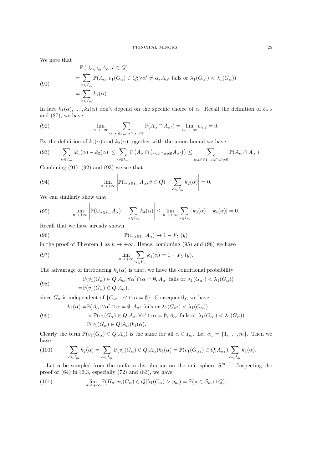We note that

(91)  
\n
$$
\mathbb{P}(\bigcup_{\alpha \in I_m} A_\alpha, \hat{v} \in Q)
$$
\n
$$
= \sum_{\alpha \in I_m} \mathbb{P}(A_\alpha, v_1(G_\alpha) \in Q; \forall \alpha' \neq \alpha, A_{\alpha'} \text{ fails or } \lambda_1(G_{\alpha'}) < \lambda_1(G_\alpha))
$$
\n
$$
= \sum_{\alpha \in I_m} k_1(\alpha).
$$

In fact  $k_1(\alpha), \ldots, k_4(\alpha)$  don't depend on the specific choice of  $\alpha$ . Recall the definition of  $b_{n,2}$ and (27), we have

(92) 
$$
\lim_{n \to +\infty} \sum_{\alpha, \alpha' \in I_m; \alpha \cap \alpha' \neq \emptyset} \mathbb{P}(A_{\alpha} \cap A_{\alpha'}) = \lim_{n \to +\infty} b_{n,2} = 0.
$$

By the definition of  $k_1(\alpha)$  and  $k_2(\alpha)$  together with the union bound we have

$$
(93) \qquad \sum_{\alpha\in I_m} |k_1(\alpha)-k_2(\alpha)| \leq \sum_{\alpha\in I_m} \mathbb{P}\left(A_{\alpha}\cap(\cup_{\alpha'\cap\alpha\neq\emptyset}A_{\alpha'})\right) \leq \sum_{\alpha,\alpha'\in I_m;\alpha\cap\alpha'\neq\emptyset} \mathbb{P}(A_{\alpha}\cap A_{\alpha'}).
$$

 $\mathbf{r}$ 

Combining  $(91)$ ,  $(92)$  and  $(93)$  we see that

 $\sim$ 

(94) 
$$
\lim_{n \to +\infty} \left| \mathbb{P}(\cup_{\alpha \in I_m} A_\alpha, \hat{v} \in Q) - \sum_{\alpha \in I_m} k_2(\alpha) \right| = 0.
$$

 $\sim$  1

We can similarly show that

(95) 
$$
\lim_{n \to +\infty} \left| \mathbb{P}(\cup_{\alpha \in I_m} A_{\alpha}) - \sum_{\alpha \in I_m} k_4(\alpha) \right| \leq \lim_{n \to +\infty} \sum_{\alpha \in I_m} |k_3(\alpha) - k_4(\alpha)| = 0.
$$

Recall that we have already shown

(96) 
$$
\mathbb{P}(\cup_{\alpha \in I_m} A_{\alpha}) \to 1 - F_Y(y)
$$

in the proof of Theorem 1 as  $n \to +\infty$ . Hence, combining (95) and (96) we have

(97) 
$$
\lim_{n \to +\infty} \sum_{\alpha \in I_m} k_4(\alpha) = 1 - F_Y(y).
$$

The advantage of introducing  $k_2(\alpha)$  is that, we have the conditional probability

(98) 
$$
\mathbb{P}(v_1(G_\alpha) \in Q | A_\alpha; \forall \alpha' \cap \alpha = \emptyset, A_{\alpha'} \text{ fails or } \lambda_1(G_{\alpha'}) < \lambda_1(G_\alpha))
$$

$$
= \mathbb{P}(v_1(G_\alpha) \in Q | A_\alpha),
$$

since  $G_{\alpha}$  is independent of  $\{G_{\alpha'} : \alpha' \cap \alpha = \emptyset\}$ . Consequently, we have

(99) 
$$
k_2(\alpha) = \mathbb{P}(A_{\alpha}; \forall \alpha' \cap \alpha = \emptyset, A_{\alpha'} \text{ fails or } \lambda_1(G_{\alpha'}) < \lambda_1(G_{\alpha}))
$$

$$
\times \mathbb{P}(v_1(G_{\alpha}) \in Q | A_{\alpha}; \forall \alpha' \cap \alpha = \emptyset, A_{\alpha'} \text{ fails or } \lambda_1(G_{\alpha'}) < \lambda_1(G_{\alpha}))
$$

$$
= \mathbb{P}(v_1(G_{\alpha}) \in Q | A_{\alpha}) k_4(\alpha).
$$

Clearly the term  $\mathbb{P}(v_1(G_\alpha) \in Q | A_\alpha)$  is the same for all  $\alpha \in I_m$ . Let  $\alpha_1 = \{1, \ldots, m\}$ . Then we have

(100) 
$$
\sum_{\alpha \in I_m} k_2(\alpha) = \sum_{\alpha \in I_m} \mathbb{P}(v_1(G_{\alpha}) \in Q | A_{\alpha}) k_4(\alpha) = \mathbb{P}(v_1(G_{\alpha_1}) \in Q | A_{\alpha_1}) \sum_{\alpha \in I_m} k_4(\alpha).
$$

Let **u** be sampled from the uniform distribution on the unit sphere  $S^{m-1}$ . Inspecting the proof of (64) in §3.3, especially (72) and (83), we have

(101) 
$$
\lim_{n \to +\infty} \mathbb{P}(H_{\alpha}, v_1(G_{\alpha}) \in Q | \lambda_1(G_{\alpha}) > y_m) = \mathbb{P}(\mathbf{u} \in S_m \cap Q),
$$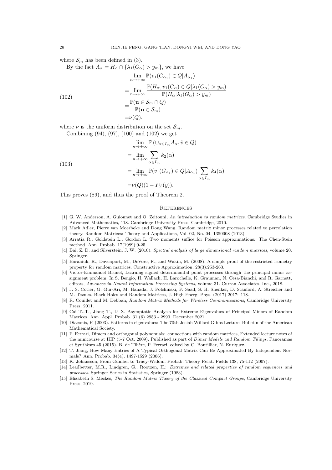where  $S_m$  has been defined in (3).

By the fact  $A_{\alpha} = H_{\alpha} \cap {\{\lambda_1(G_{\alpha}) > y_m\}}$ , we have

(102)  
\n
$$
\lim_{n \to +\infty} \mathbb{P}(v_1(G_{\alpha_1}) \in Q | A_{\alpha_1})
$$
\n
$$
= \lim_{n \to +\infty} \frac{\mathbb{P}(H_{\alpha}, v_1(G_{\alpha}) \in Q | \lambda_1(G_{\alpha}) > y_m)}{\mathbb{P}(H_{\alpha} | \lambda_1(G_{\alpha}) > y_m)}
$$
\n
$$
= \frac{\mathbb{P}(u \in S_m \cap Q)}{\mathbb{P}(u \in S_m)}
$$
\n
$$
= \nu(Q),
$$

where  $\nu$  is the uniform distribution on the set  $\mathcal{S}_m$ .

Combining (94), (97), (100) and (102) we get

(103)  
\n
$$
\lim_{n \to +\infty} \mathbb{P} (\cup_{\alpha \in I_m} A_\alpha, \hat{v} \in Q)
$$
\n
$$
= \lim_{n \to +\infty} \sum_{\alpha \in I_m} k_2(\alpha)
$$
\n
$$
= \lim_{n \to +\infty} \mathbb{P}(v_1(G_{\alpha_1}) \in Q | A_{\alpha_1}) \sum_{\alpha \in I_m} k_4(\alpha)
$$
\n
$$
= \nu(Q)(1 - F_Y(y)).
$$

This proves (89), and thus the proof of Theorem 2.

#### **REFERENCES**

- [1] G. W. Anderson, A. Guionnet and O. Zeitouni, An introduction to random matrices. Cambridge Studies in Advanced Mathematics, 118. Cambridge University Press, Cambridge, 2010.
- [2] Mark Adler, Pierre van Moerbeke and Dong Wang, Random matrix minor processes related to percolation theory, Random Matrices: Theory and Applications, Vol. 02, No. 04, 1350008 (2013).
- [3] Arratia R., Goldstein L., Gordon L. Two moments suffice for Poisson approximations: The Chen-Stein method. Ann. Probab. 17(1989):9-25.
- [4] Bai, Z. D. and Silverstein, J. W. (2010). Spectral analysis of large dimensional random matrices, volume 20. Springer.
- [5] Baraniuk, R., Davenport, M., DeVore, R., and Wakin, M. (2008). A simple proof of the restricted isometry property for random matrices. Constructive Approximation, 28(3):253-263.
- [6] Victor-Emmanuel Brunel, Learning signed determinantal point processes through the principal minor assignment problem. In S. Bengio, H. Wallach, H. Larochelle, K. Grauman, N. Cesa-Bianchi, and R. Garnett, editors, Advances in Neural Information Processing Systems, volume 31. Curran Associates, Inc., 2018.
- [7] J. S. Cotler, G. Gur-Ari, M. Hanada, J. Polchinski, P. Saad, S. H. Shenker, D. Stanford, A. Streicher and M. Tezuka, Black Holes and Random Matrices, J. High Energ. Phys. (2017) 2017: 118.
- [8] R. Couillet and M. Debbah, Random Matrix Methods for Wireless Communications, Cambridge University Press, 2011.
- [9] Cai T.-T., Jiang T., Li X. Asymptotic Analysis for Extreme Eigenvalues of Principal Minors of Random Matrices, Ann. Appl. Probab. 31 (6) 2953 - 2990, December 2021.
- [10] Diaconis, P. (2003). Patterns in eigenvalues: The 70th Josiah Willard Gibbs Lecture. Bulletin of the American Mathematical Society.
- [11] P. Ferrari, Dimers and orthogonal polynomials: connections with random matrices, Extended lecture notes of the minicourse at IHP (5-7 Oct. 2009). Published as part of Dimer Models and Random Tilings, Panoramas et Synthèses 45 (2015). B. de Tilière, P. Ferrari, edited by C. Boutillier, N. Enriquez.
- [12] T. Jiang, How Many Entries of A Typical Orthogonal Matrix Can Be Approximated By Independent Normals? Ann. Probab. 34(4), 1497-1529 (2006).
- [13] K. Johansson, From Gumbel to Tracy-Widom. Probab. Theory Relat. Fields 138, 75-112 (2007).
- [14] Leadbetter, M.R., Lindgren, G., Rootzen, H.: Extremes and related properties of random sequences and processes. Springer Series in Statistics, Springer (1983).
- [15] Elizabeth S. Meckes, The Random Matrix Theory of the Classical Compact Groups, Cambridge University Press, 2019.